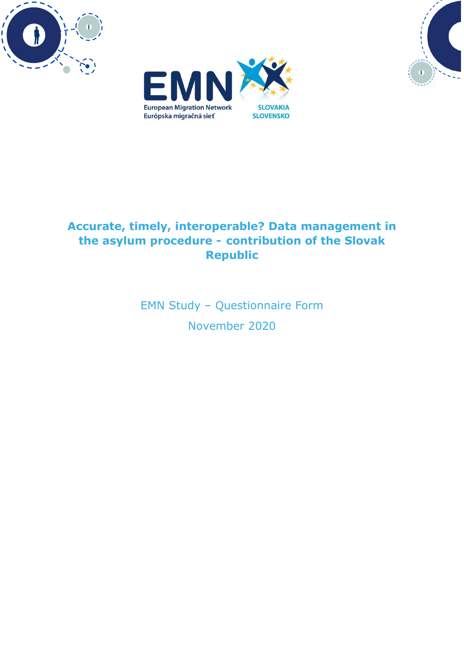





# **Accurate, timely, interoperable? Data management in the asylum procedure - contribution of the Slovak Republic**

EMN Study – Questionnaire Form November 2020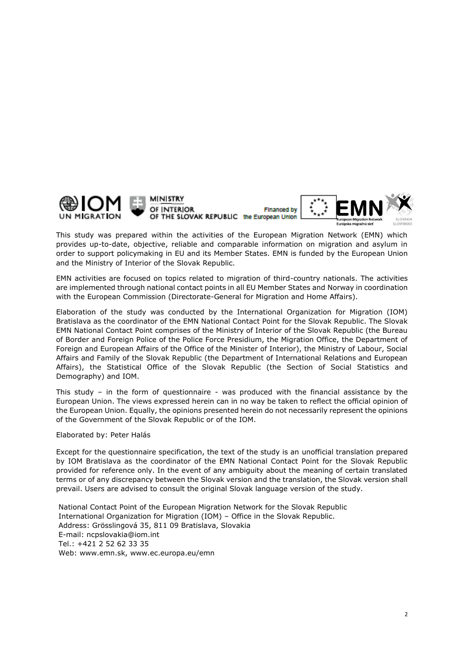

This study was prepared within the activities of the European Migration Network (EMN) which provides up-to-date, objective, reliable and comparable information on migration and asylum in order to support policymaking in EU and its Member States. EMN is funded by the European Union and the Ministry of Interior of the Slovak Republic.

EMN activities are focused on topics related to migration of third-country nationals. The activities are implemented through national contact points in all EU Member States and Norway in coordination with the European Commission (Directorate-General for Migration and Home Affairs).

Elaboration of the study was conducted by the International Organization for Migration (IOM) Bratislava as the coordinator of the EMN National Contact Point for the Slovak Republic. The Slovak EMN National Contact Point comprises of the Ministry of Interior of the Slovak Republic (the Bureau of Border and Foreign Police of the Police Force Presidium, the Migration Office, the Department of Foreign and European Affairs of the Office of the Minister of Interior), the Ministry of Labour, Social Affairs and Family of the Slovak Republic (the Department of International Relations and European Affairs), the Statistical Office of the Slovak Republic (the Section of Social Statistics and Demography) and IOM.

This study - in the form of questionnaire - was produced with the financial assistance by the European Union. The views expressed herein can in no way be taken to reflect the official opinion of the European Union. Equally, the opinions presented herein do not necessarily represent the opinions of the Government of the Slovak Republic or of the IOM.

Elaborated by: Peter Halás

Except for the questionnaire specification, the text of the study is an unofficial translation prepared by IOM Bratislava as the coordinator of the EMN National Contact Point for the Slovak Republic provided for reference only. In the event of any ambiguity about the meaning of certain translated terms or of any discrepancy between the Slovak version and the translation, the Slovak version shall prevail. Users are advised to consult the original Slovak language version of the study.

National Contact Point of the European Migration Network for the Slovak Republic International Organization for Migration (IOM) – Office in the Slovak Republic. Address: Grösslingová 35, 811 09 Bratislava, Slovakia E-mail: ncpslovakia@iom.int Tel.: +421 2 52 62 33 35 Web: www.emn.sk, www.ec.europa.eu/emn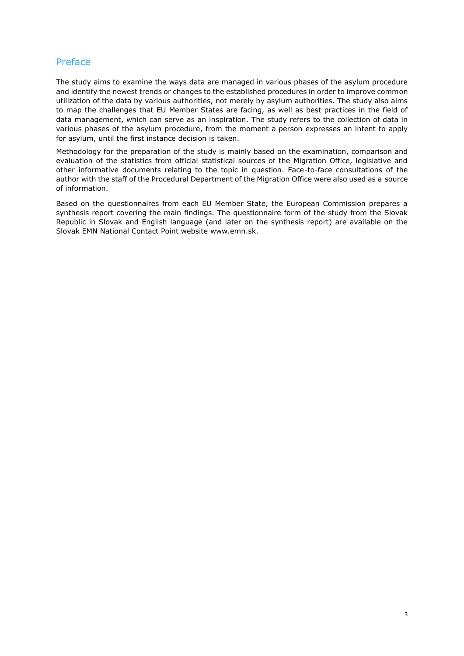# Preface

The study aims to examine the ways data are managed in various phases of the asylum procedure and identify the newest trends or changes to the established procedures in order to improve common utilization of the data by various authorities, not merely by asylum authorities. The study also aims to map the challenges that EU Member States are facing, as well as best practices in the field of data management, which can serve as an inspiration. The study refers to the collection of data in various phases of the asylum procedure, from the moment a person expresses an intent to apply for asylum, until the first instance decision is taken.

Methodology for the preparation of the study is mainly based on the examination, comparison and evaluation of the statistics from official statistical sources of the Migration Office, legislative and other informative documents relating to the topic in question. Face-to-face consultations of the author with the staff of the Procedural Department of the Migration Office were also used as a source of information.

Based on the questionnaires from each EU Member State, the European Commission prepares a synthesis report covering the main findings. The questionnaire form of the study from the Slovak Republic in Slovak and English language (and later on the synthesis report) are available on the Slovak EMN National Contact Point website [www.emn.sk.](http://www.emn.sk/)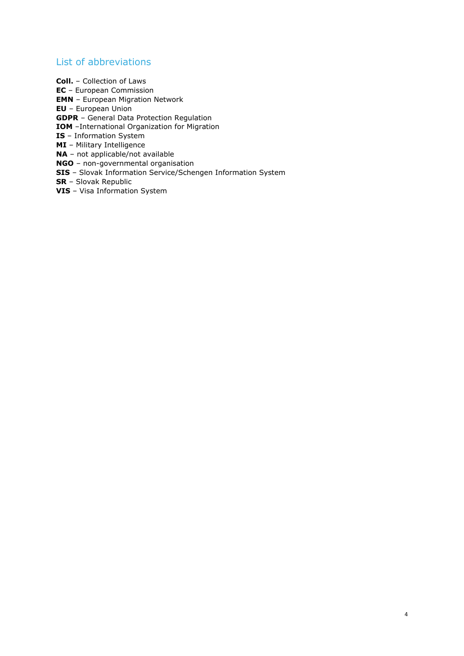# List of abbreviations

**Coll.** – Collection of Laws **EC** – European Commission **EMN** – European Migration Network **EU** – European Union **GDPR** – General Data Protection Regulation **IOM** –International Organization for Migration **IS** – Information System **MI** – Military Intelligence **NA** – not applicable/not available **NGO** – non-governmental organisation **SIS** – Slovak Information Service/Schengen Information System **SR** – Slovak Republic **VIS** – Visa Information System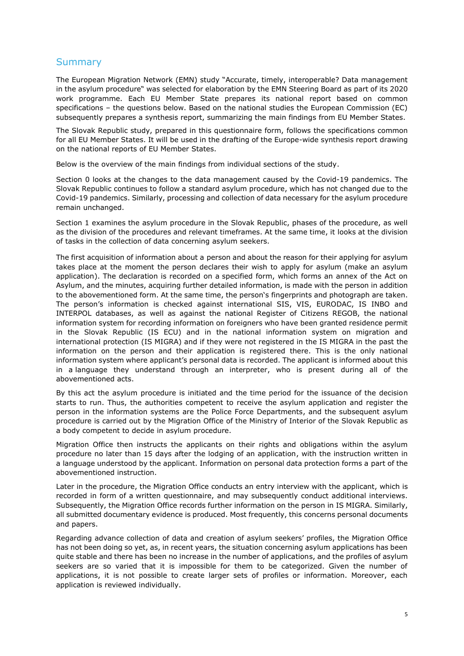# **Summary**

The European Migration Network (EMN) study "Accurate, timely, interoperable? Data management in the asylum procedure" was selected for elaboration by the EMN Steering Board as part of its 2020 work programme. Each EU Member State prepares its national report based on common specifications – the questions below. Based on the national studies the European Commission (EC) subsequently prepares a synthesis report, summarizing the main findings from EU Member States.

The Slovak Republic study, prepared in this questionnaire form, follows the specifications common for all EU Member States. It will be used in the drafting of the Europe-wide synthesis report drawing on the national reports of EU Member States.

Below is the overview of the main findings from individual sections of the study.

Section 0 looks at the changes to the data management caused by the Covid-19 pandemics. The Slovak Republic continues to follow a standard asylum procedure, which has not changed due to the Covid-19 pandemics. Similarly, processing and collection of data necessary for the asylum procedure remain unchanged.

Section 1 examines the asylum procedure in the Slovak Republic, phases of the procedure, as well as the division of the procedures and relevant timeframes. At the same time, it looks at the division of tasks in the collection of data concerning asylum seekers.

The first acquisition of information about a person and about the reason for their applying for asylum takes place at the moment the person declares their wish to apply for asylum (make an asylum application). The declaration is recorded on a specified form, which forms an annex of the Act on Asylum, and the minutes, acquiring further detailed information, is made with the person in addition to the abovementioned form. At the same time, the person's fingerprints and photograph are taken. The person's information is checked against international SIS, VIS, EURODAC, IS INBO and INTERPOL databases, as well as against the national Register of Citizens REGOB, the national information system for recording information on foreigners who have been granted residence permit in the Slovak Republic (IS ECU) and in the national information system on migration and international protection (IS MIGRA) and if they were not registered in the IS MIGRA in the past the information on the person and their application is registered there. This is the only national information system where applicant's personal data is recorded. The applicant is informed about this in a language they understand through an interpreter, who is present during all of the abovementioned acts.

By this act the asylum procedure is initiated and the time period for the issuance of the decision starts to run. Thus, the authorities competent to receive the asylum application and register the person in the information systems are the Police Force Departments, and the subsequent asylum procedure is carried out by the Migration Office of the Ministry of Interior of the Slovak Republic as a body competent to decide in asylum procedure.

Migration Office then instructs the applicants on their rights and obligations within the asylum procedure no later than 15 days after the lodging of an application, with the instruction written in a language understood by the applicant. Information on personal data protection forms a part of the abovementioned instruction.

Later in the procedure, the Migration Office conducts an entry interview with the applicant, which is recorded in form of a written questionnaire, and may subsequently conduct additional interviews. Subsequently, the Migration Office records further information on the person in IS MIGRA. Similarly, all submitted documentary evidence is produced. Most frequently, this concerns personal documents and papers.

Regarding advance collection of data and creation of asylum seekers' profiles, the Migration Office has not been doing so yet, as, in recent years, the situation concerning asylum applications has been quite stable and there has been no increase in the number of applications, and the profiles of asylum seekers are so varied that it is impossible for them to be categorized. Given the number of applications, it is not possible to create larger sets of profiles or information. Moreover, each application is reviewed individually.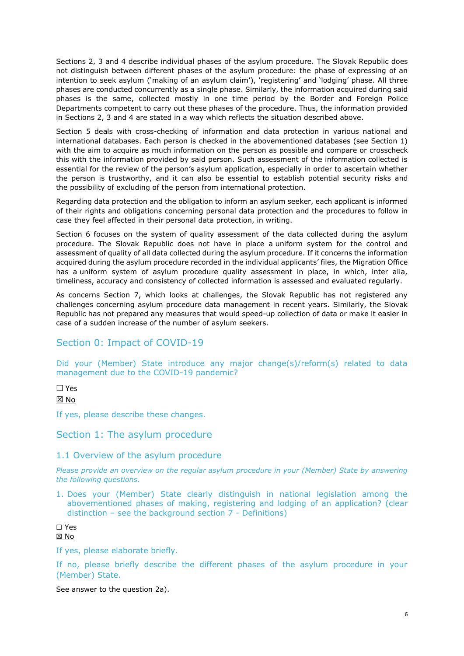Sections 2, 3 and 4 describe individual phases of the asylum procedure. The Slovak Republic does not distinguish between different phases of the asylum procedure: the phase of expressing of an intention to seek asylum ('making of an asylum claim'), 'registering' and 'lodging' phase. All three phases are conducted concurrently as a single phase. Similarly, the information acquired during said phases is the same, collected mostly in one time period by the Border and Foreign Police Departments competent to carry out these phases of the procedure. Thus, the information provided in Sections 2, 3 and 4 are stated in a way which reflects the situation described above.

Section 5 deals with cross-checking of information and data protection in various national and international databases. Each person is checked in the abovementioned databases (see Section 1) with the aim to acquire as much information on the person as possible and compare or crosscheck this with the information provided by said person. Such assessment of the information collected is essential for the review of the person's asylum application, especially in order to ascertain whether the person is trustworthy, and it can also be essential to establish potential security risks and the possibility of excluding of the person from international protection.

Regarding data protection and the obligation to inform an asylum seeker, each applicant is informed of their rights and obligations concerning personal data protection and the procedures to follow in case they feel affected in their personal data protection, in writing.

Section 6 focuses on the system of quality assessment of the data collected during the asylum procedure. The Slovak Republic does not have in place a uniform system for the control and assessment of quality of all data collected during the asylum procedure. If it concerns the information acquired during the asylum procedure recorded in the individual applicants' files, the Migration Office has a uniform system of asylum procedure quality assessment in place, in which, inter alia, timeliness, accuracy and consistency of collected information is assessed and evaluated regularly.

As concerns Section 7, which looks at challenges, the Slovak Republic has not registered any challenges concerning asylum procedure data management in recent years. Similarly, the Slovak Republic has not prepared any measures that would speed-up collection of data or make it easier in case of a sudden increase of the number of asylum seekers.

# Section 0: Impact of COVID-19

Did your (Member) State introduce any major change(s)/reform(s) related to data management due to the COVID-19 pandemic?

☐ Yes

☒ No

If yes, please describe these changes.

## Section 1: The asylum procedure

## 1.1 Overview of the asylum procedure

*Please provide an overview on the regular asylum procedure in your (Member) State by answering the following questions.* 

1. Does your (Member) State clearly distinguish in national legislation among the abovementioned phases of making, registering and lodging of an application? (clear distinction – see the background section 7 - Definitions)

☐ Yes

☒ No

If yes, please elaborate briefly.

If no, please briefly describe the different phases of the asylum procedure in your (Member) State.

See answer to the question 2a).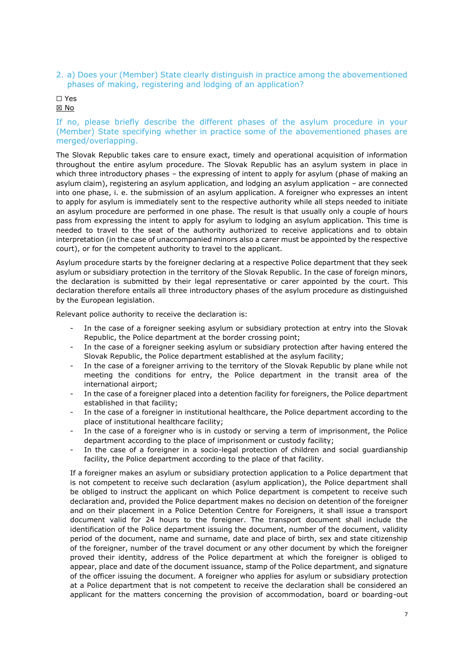2. a) Does your (Member) State clearly distinguish in practice among the abovementioned phases of making, registering and lodging of an application?

☐ Yes

☒ No

#### If no, please briefly describe the different phases of the asylum procedure in your (Member) State specifying whether in practice some of the abovementioned phases are merged/overlapping.

The Slovak Republic takes care to ensure exact, timely and operational acquisition of information throughout the entire asylum procedure. The Slovak Republic has an asylum system in place in which three introductory phases – the expressing of intent to apply for asylum (phase of making an asylum claim), registering an asylum application, and lodging an asylum application – are connected into one phase, i. e. the submission of an asylum application. A foreigner who expresses an intent to apply for asylum is immediately sent to the respective authority while all steps needed to initiate an asylum procedure are performed in one phase. The result is that usually only a couple of hours pass from expressing the intent to apply for asylum to lodging an asylum application. This time is needed to travel to the seat of the authority authorized to receive applications and to obtain interpretation (in the case of unaccompanied minors also a carer must be appointed by the respective court), or for the competent authority to travel to the applicant.

Asylum procedure starts by the foreigner declaring at a respective Police department that they seek asylum or subsidiary protection in the territory of the Slovak Republic. In the case of foreign minors, the declaration is submitted by their legal representative or carer appointed by the court. This declaration therefore entails all three introductory phases of the asylum procedure as distinguished by the European legislation.

Relevant police authority to receive the declaration is:

- In the case of a foreigner seeking asylum or subsidiary protection at entry into the Slovak Republic, the Police department at the border crossing point;
- In the case of a foreigner seeking asylum or subsidiary protection after having entered the Slovak Republic, the Police department established at the asylum facility;
- In the case of a foreigner arriving to the territory of the Slovak Republic by plane while not meeting the conditions for entry, the Police department in the transit area of the international airport;
- In the case of a foreigner placed into a detention facility for foreigners, the Police department established in that facility;
- In the case of a foreigner in institutional healthcare, the Police department according to the place of institutional healthcare facility;
- In the case of a foreigner who is in custody or serving a term of imprisonment, the Police department according to the place of imprisonment or custody facility;
- In the case of a foreigner in a socio-legal protection of children and social guardianship facility, the Police department according to the place of that facility.

If a foreigner makes an asylum or subsidiary protection application to a Police department that is not competent to receive such declaration (asylum application), the Police department shall be obliged to instruct the applicant on which Police department is competent to receive such declaration and, provided the Police department makes no decision on detention of the foreigner and on their placement in a Police Detention Centre for Foreigners, it shall issue a transport document valid for 24 hours to the foreigner. The transport document shall include the identification of the Police department issuing the document, number of the document, validity period of the document, name and surname, date and place of birth, sex and state citizenship of the foreigner, number of the travel document or any other document by which the foreigner proved their identity, address of the Police department at which the foreigner is obliged to appear, place and date of the document issuance, stamp of the Police department, and signature of the officer issuing the document. A foreigner who applies for asylum or subsidiary protection at a Police department that is not competent to receive the declaration shall be considered an applicant for the matters concerning the provision of accommodation, board or boarding-out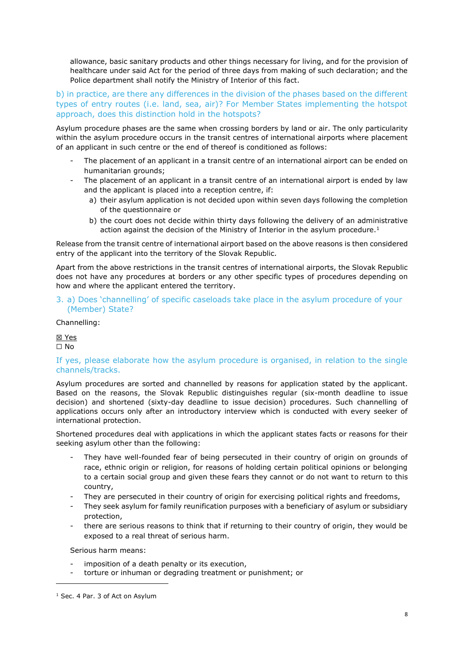allowance, basic sanitary products and other things necessary for living, and for the provision of healthcare under said Act for the period of three days from making of such declaration; and the Police department shall notify the Ministry of Interior of this fact.

b) in practice, are there any differences in the division of the phases based on the different types of entry routes (i.e. land, sea, air)? For Member States implementing the hotspot approach, does this distinction hold in the hotspots?

Asylum procedure phases are the same when crossing borders by land or air. The only particularity within the asylum procedure occurs in the transit centres of international airports where placement of an applicant in such centre or the end of thereof is conditioned as follows:

- The placement of an applicant in a transit centre of an international airport can be ended on humanitarian grounds;
- The placement of an applicant in a transit centre of an international airport is ended by law and the applicant is placed into a reception centre, if:
	- a) their asylum application is not decided upon within seven days following the completion of the questionnaire or
	- b) the court does not decide within thirty days following the delivery of an administrative action against the decision of the Ministry of Interior in the asylum procedure.<sup>1</sup>

Release from the transit centre of international airport based on the above reasons is then considered entry of the applicant into the territory of the Slovak Republic.

Apart from the above restrictions in the transit centres of international airports, the Slovak Republic does not have any procedures at borders or any other specific types of procedures depending on how and where the applicant entered the territory.

3. a) Does 'channelling' of specific caseloads take place in the asylum procedure of your (Member) State?

Channelling:

☒ Yes ☐ No

#### If yes, please elaborate how the asylum procedure is organised, in relation to the single channels/tracks.

Asylum procedures are sorted and channelled by reasons for application stated by the applicant. Based on the reasons, the Slovak Republic distinguishes regular (six-month deadline to issue decision) and shortened (sixty-day deadline to issue decision) procedures. Such channelling of applications occurs only after an introductory interview which is conducted with every seeker of international protection.

Shortened procedures deal with applications in which the applicant states facts or reasons for their seeking asylum other than the following:

- They have well-founded fear of being persecuted in their country of origin on grounds of race, ethnic origin or religion, for reasons of holding certain political opinions or belonging to a certain social group and given these fears they cannot or do not want to return to this country,
- They are persecuted in their country of origin for exercising political rights and freedoms,
- They seek asylum for family reunification purposes with a beneficiary of asylum or subsidiary protection,
- there are serious reasons to think that if returning to their country of origin, they would be exposed to a real threat of serious harm.

Serious harm means:

- imposition of a death penalty or its execution,
- torture or inhuman or degrading treatment or punishment; or

<sup>&</sup>lt;sup>1</sup> Sec. 4 Par. 3 of Act on Asylum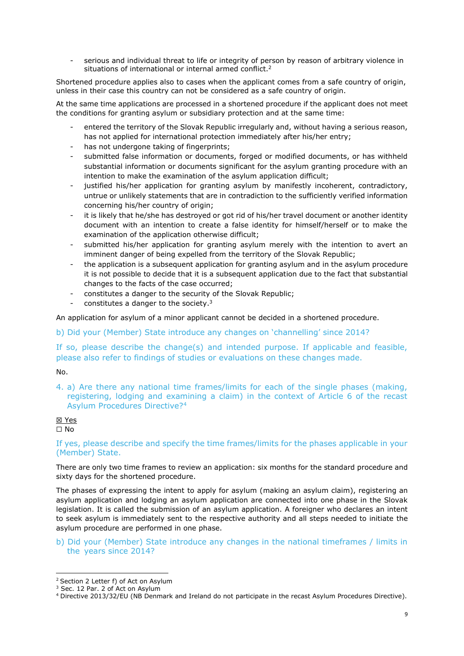serious and individual threat to life or integrity of person by reason of arbitrary violence in situations of international or internal armed conflict.<sup>2</sup>

Shortened procedure applies also to cases when the applicant comes from a safe country of origin, unless in their case this country can not be considered as a safe country of origin.

At the same time applications are processed in a shortened procedure if the applicant does not meet the conditions for granting asylum or subsidiary protection and at the same time:

- entered the territory of the Slovak Republic irregularly and, without having a serious reason, has not applied for international protection immediately after his/her entry;
- has not undergone taking of fingerprints;
- submitted false information or documents, forged or modified documents, or has withheld substantial information or documents significant for the asylum granting procedure with an intention to make the examination of the asylum application difficult;
- justified his/her application for granting asylum by manifestly incoherent, contradictory, untrue or unlikely statements that are in contradiction to the sufficiently verified information concerning his/her country of origin;
- it is likely that he/she has destroyed or got rid of his/her travel document or another identity document with an intention to create a false identity for himself/herself or to make the examination of the application otherwise difficult;
- submitted his/her application for granting asylum merely with the intention to avert an imminent danger of being expelled from the territory of the Slovak Republic;
- the application is a subsequent application for granting asylum and in the asylum procedure it is not possible to decide that it is a subsequent application due to the fact that substantial changes to the facts of the case occurred;
- constitutes a danger to the security of the Slovak Republic;
- constitutes a danger to the society.<sup>3</sup>

An application for asylum of a minor applicant cannot be decided in a shortened procedure.

b) Did your (Member) State introduce any changes on 'channelling' since 2014?

If so, please describe the change(s) and intended purpose. If applicable and feasible, please also refer to findings of studies or evaluations on these changes made.

No.

4. a) Are there any national time frames/limits for each of the single phases (making, registering, lodging and examining a claim) in the context of Article 6 of the recast Asylum Procedures Directive?<sup>4</sup>

# ☒ Yes

☐ No

If yes, please describe and specify the time frames/limits for the phases applicable in your (Member) State.

There are only two time frames to review an application: six months for the standard procedure and sixty days for the shortened procedure.

The phases of expressing the intent to apply for asylum (making an asylum claim), registering an asylum application and lodging an asylum application are connected into one phase in the Slovak legislation. It is called the submission of an asylum application. A foreigner who declares an intent to seek asylum is immediately sent to the respective authority and all steps needed to initiate the asylum procedure are performed in one phase.

b) Did your (Member) State introduce any changes in the national timeframes / limits in the years since 2014?

<sup>2</sup> Section 2 Letter f) of Act on Asylum

<sup>&</sup>lt;sup>3</sup> Sec. 12 Par. 2 of Act on Asylum

<sup>4</sup> Directive 2013/32/EU (NB Denmark and Ireland do not participate in the recast Asylum Procedures Directive).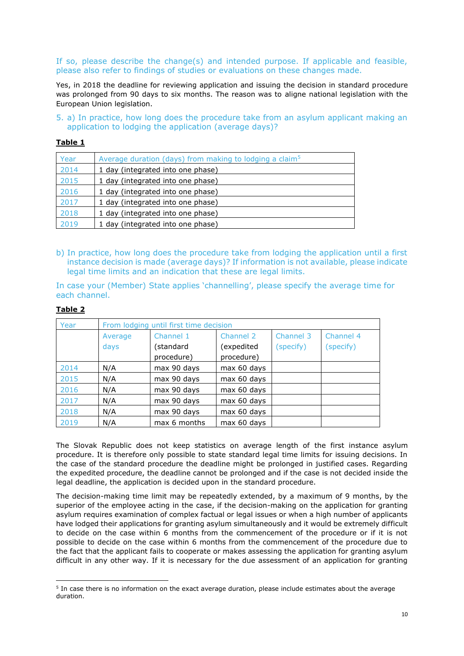#### If so, please describe the change(s) and intended purpose. If applicable and feasible, please also refer to findings of studies or evaluations on these changes made.

Yes, in 2018 the deadline for reviewing application and issuing the decision in standard procedure was prolonged from 90 days to six months. The reason was to aligne national legislation with the European Union legislation.

5. a) In practice, how long does the procedure take from an asylum applicant making an application to lodging the application (average days)?

#### **Table 1**

| Year | Average duration (days) from making to lodging a claim <sup>5</sup> |
|------|---------------------------------------------------------------------|
| 2014 | 1 day (integrated into one phase)                                   |
| 2015 | 1 day (integrated into one phase)                                   |
| 2016 | 1 day (integrated into one phase)                                   |
| 2017 | 1 day (integrated into one phase)                                   |
| 2018 | 1 day (integrated into one phase)                                   |
| 2019 | 1 day (integrated into one phase)                                   |

b) In practice, how long does the procedure take from lodging the application until a first instance decision is made (average days)? If information is not available, please indicate legal time limits and an indication that these are legal limits.

In case your (Member) State applies 'channelling', please specify the average time for each channel.

| Year | From lodging until first time decision |              |             |           |           |  |  |
|------|----------------------------------------|--------------|-------------|-----------|-----------|--|--|
|      | Channel 1<br>Average                   |              | Channel 2   | Channel 3 | Channel 4 |  |  |
|      | days                                   | (standard    | (expedited  | (specify) | (specify) |  |  |
|      |                                        | procedure)   | procedure)  |           |           |  |  |
| 2014 | N/A                                    | max 90 days  | max 60 days |           |           |  |  |
| 2015 | N/A                                    | max 90 days  | max 60 days |           |           |  |  |
| 2016 | N/A                                    | max 90 days  | max 60 days |           |           |  |  |
| 2017 | N/A                                    | max 90 days  | max 60 days |           |           |  |  |
| 2018 | N/A                                    | max 90 days  | max 60 days |           |           |  |  |
| 2019 | N/A                                    | max 6 months | max 60 days |           |           |  |  |

### **Table 2**

The Slovak Republic does not keep statistics on average length of the first instance asylum procedure. It is therefore only possible to state standard legal time limits for issuing decisions. In the case of the standard procedure the deadline might be prolonged in justified cases. Regarding the expedited procedure, the deadline cannot be prolonged and if the case is not decided inside the legal deadline, the application is decided upon in the standard procedure.

The decision-making time limit may be repeatedly extended, by a maximum of 9 months, by the superior of the employee acting in the case, if the decision-making on the application for granting asylum requires examination of complex factual or legal issues or when a high number of applicants have lodged their applications for granting asylum simultaneously and it would be extremely difficult to decide on the case within 6 months from the commencement of the procedure or if it is not possible to decide on the case within 6 months from the commencement of the procedure due to the fact that the applicant fails to cooperate or makes assessing the application for granting asylum difficult in any other way. If it is necessary for the due assessment of an application for granting

<sup>&</sup>lt;sup>5</sup> In case there is no information on the exact average duration, please include estimates about the average duration.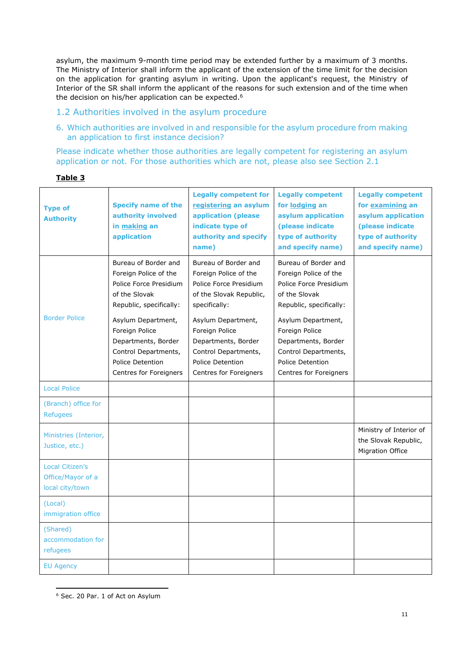asylum, the maximum 9-month time period may be extended further by a maximum of 3 months. The Ministry of Interior shall inform the applicant of the extension of the time limit for the decision on the application for granting asylum in writing. Upon the applicant's request, the Ministry of Interior of the SR shall inform the applicant of the reasons for such extension and of the time when the decision on his/her application can be expected.<sup>6</sup>

## 1.2 Authorities involved in the asylum procedure

6. Which authorities are involved in and responsible for the asylum procedure from making an application to first instance decision?

Please indicate whether those authorities are legally competent for registering an asylum application or not. For those authorities which are not, please also see Section 2.1

| <b>Type of</b><br><b>Authority</b>                             | <b>Specify name of the</b><br>authority involved<br>in making an<br>application                                                                                                                                                                                 | <b>Legally competent for</b><br>registering an asylum<br>application (please)<br>indicate type of<br>authority and specify<br>name)                                                                                                                             | <b>Legally competent</b><br>for lodging an<br>asylum application<br>(please indicate<br>type of authority<br>and specify name)                                                                                                                                  | <b>Legally competent</b><br>for examining an<br>asylum application<br>(please indicate<br>type of authority<br>and specify name) |
|----------------------------------------------------------------|-----------------------------------------------------------------------------------------------------------------------------------------------------------------------------------------------------------------------------------------------------------------|-----------------------------------------------------------------------------------------------------------------------------------------------------------------------------------------------------------------------------------------------------------------|-----------------------------------------------------------------------------------------------------------------------------------------------------------------------------------------------------------------------------------------------------------------|----------------------------------------------------------------------------------------------------------------------------------|
| <b>Border Police</b>                                           | Bureau of Border and<br>Foreign Police of the<br>Police Force Presidium<br>of the Slovak<br>Republic, specifically:<br>Asylum Department,<br>Foreign Police<br>Departments, Border<br>Control Departments,<br><b>Police Detention</b><br>Centres for Foreigners | Bureau of Border and<br>Foreign Police of the<br>Police Force Presidium<br>of the Slovak Republic,<br>specifically:<br>Asylum Department,<br>Foreign Police<br>Departments, Border<br>Control Departments,<br><b>Police Detention</b><br>Centres for Foreigners | Bureau of Border and<br>Foreign Police of the<br>Police Force Presidium<br>of the Slovak<br>Republic, specifically:<br>Asylum Department,<br>Foreign Police<br>Departments, Border<br>Control Departments,<br><b>Police Detention</b><br>Centres for Foreigners |                                                                                                                                  |
| <b>Local Police</b>                                            |                                                                                                                                                                                                                                                                 |                                                                                                                                                                                                                                                                 |                                                                                                                                                                                                                                                                 |                                                                                                                                  |
| (Branch) office for<br><b>Refugees</b>                         |                                                                                                                                                                                                                                                                 |                                                                                                                                                                                                                                                                 |                                                                                                                                                                                                                                                                 |                                                                                                                                  |
| Ministries (Interior,<br>Justice, etc.)                        |                                                                                                                                                                                                                                                                 |                                                                                                                                                                                                                                                                 |                                                                                                                                                                                                                                                                 | Ministry of Interior of<br>the Slovak Republic,<br>Migration Office                                                              |
| <b>Local Citizen's</b><br>Office/Mayor of a<br>local city/town |                                                                                                                                                                                                                                                                 |                                                                                                                                                                                                                                                                 |                                                                                                                                                                                                                                                                 |                                                                                                                                  |
| (Local)<br>immigration office                                  |                                                                                                                                                                                                                                                                 |                                                                                                                                                                                                                                                                 |                                                                                                                                                                                                                                                                 |                                                                                                                                  |
| (Shared)<br>accommodation for<br>refugees                      |                                                                                                                                                                                                                                                                 |                                                                                                                                                                                                                                                                 |                                                                                                                                                                                                                                                                 |                                                                                                                                  |
| <b>EU Agency</b>                                               |                                                                                                                                                                                                                                                                 |                                                                                                                                                                                                                                                                 |                                                                                                                                                                                                                                                                 |                                                                                                                                  |

<sup>6</sup> Sec. 20 Par. 1 of Act on Asylum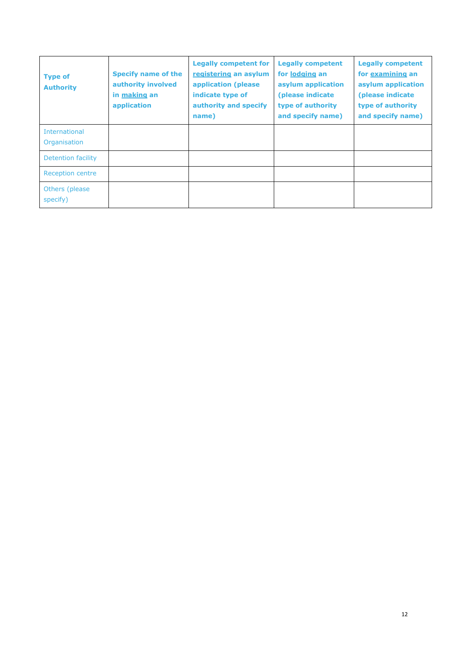| <b>Type of</b><br><b>Authority</b>   | <b>Specify name of the</b><br>authority involved<br>in making an<br>application | <b>Legally competent for</b><br>registering an asylum<br>application (please<br>indicate type of<br>authority and specify<br>name) | <b>Legally competent</b><br>for lodging an<br>asylum application<br>(please indicate<br>type of authority<br>and specify name) | <b>Legally competent</b><br>for examining an<br>asylum application<br>(please indicate)<br>type of authority<br>and specify name) |
|--------------------------------------|---------------------------------------------------------------------------------|------------------------------------------------------------------------------------------------------------------------------------|--------------------------------------------------------------------------------------------------------------------------------|-----------------------------------------------------------------------------------------------------------------------------------|
| <b>International</b><br>Organisation |                                                                                 |                                                                                                                                    |                                                                                                                                |                                                                                                                                   |
| Detention facility                   |                                                                                 |                                                                                                                                    |                                                                                                                                |                                                                                                                                   |
| <b>Reception centre</b>              |                                                                                 |                                                                                                                                    |                                                                                                                                |                                                                                                                                   |
| Others (please)<br>specify)          |                                                                                 |                                                                                                                                    |                                                                                                                                |                                                                                                                                   |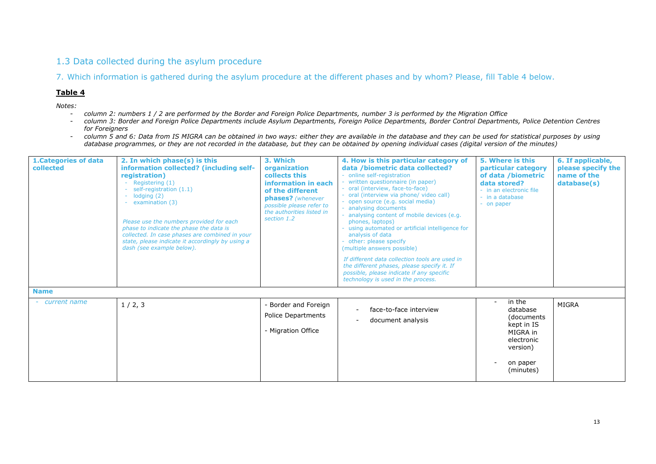# 1.3 Data collected during the asylum procedure

7. Which information is gathered during the asylum procedure at the different phases and by whom? Please, fill Table 4 below.

#### **Table 4**

*Notes:* 

- *column 2: numbers 1 / 2 are performed by the Border and Foreign Police Departments, number 3 is performed by the Migration Office*
- *column 3: Border and Foreign Police Departments include Asylum Departments, Foreign Police Departments, Border Control Departments, Police Detention Centres for Foreigners*
- *column 5 and 6: Data from IS MIGRA can be obtained in two ways: either they are available in the database and they can be used for statistical purposes by using database programmes, or they are not recorded in the database, but they can be obtained by opening individual cases (digital version of the minutes)*

| <b>1.Categories of data</b><br>collected | 2. In which phase(s) is this<br>information collected? (including self-<br>registration)<br>Registering (1)<br>self-registration (1.1)<br>lodging $(2)$<br>examination (3)<br>Please use the numbers provided for each<br>phase to indicate the phase the data is<br>collected. In case phases are combined in your<br>state, please indicate it accordingly by using a<br>dash (see example below). | 3. Which<br>organization<br>collects this<br>information in each<br>of the different<br>phases? (whenever<br>possible please refer to<br>the authorities listed in<br>section 1.2 | 4. How is this particular category of<br>data /biometric data collected?<br>- online self-registration<br>written questionnaire (in paper)<br>- oral (interview, face-to-face)<br>oral (interview via phone/ video call)<br>- open source (e.g. social media)<br>analysing documents<br>analysing content of mobile devices (e.g.<br>phones, laptops)<br>- using automated or artificial intelligence for<br>analysis of data<br>- other: please specify<br>(multiple answers possible)<br>If different data collection tools are used in<br>the different phases, please specify it. If<br>possible, please indicate if any specific<br>technology is used in the process. | 5. Where is this<br>particular category<br>of data /biometric<br>data stored?<br>- in an electronic file<br>- in a database<br>- on paper | 6. If applicable,<br>please specify the<br>name of the<br>database(s) |
|------------------------------------------|------------------------------------------------------------------------------------------------------------------------------------------------------------------------------------------------------------------------------------------------------------------------------------------------------------------------------------------------------------------------------------------------------|-----------------------------------------------------------------------------------------------------------------------------------------------------------------------------------|-----------------------------------------------------------------------------------------------------------------------------------------------------------------------------------------------------------------------------------------------------------------------------------------------------------------------------------------------------------------------------------------------------------------------------------------------------------------------------------------------------------------------------------------------------------------------------------------------------------------------------------------------------------------------------|-------------------------------------------------------------------------------------------------------------------------------------------|-----------------------------------------------------------------------|
| <b>Name</b><br>- current name            | 1/2, 3                                                                                                                                                                                                                                                                                                                                                                                               | - Border and Foreign<br>Police Departments<br>- Migration Office                                                                                                                  | face-to-face interview<br>document analysis                                                                                                                                                                                                                                                                                                                                                                                                                                                                                                                                                                                                                                 | in the<br>database<br>(documents<br>kept in IS<br>MIGRA in<br>electronic<br>version)<br>on paper<br>(minutes)                             | MIGRA                                                                 |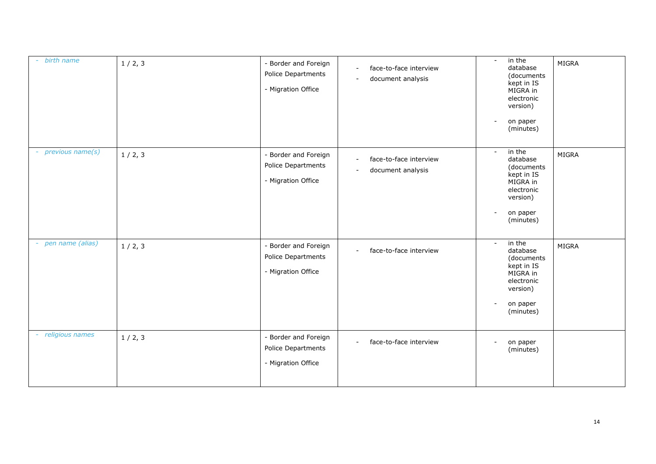| - birth name       | 1/2, 3 | - Border and Foreign<br>Police Departments<br>- Migration Office | face-to-face interview<br>$\sim$<br>document analysis | in the<br>$\sim$<br>database<br>(documents<br>kept in IS<br>MIGRA in<br>electronic<br>version)<br>on paper<br>$\overline{\phantom{m}}$<br>(minutes) | <b>MIGRA</b> |
|--------------------|--------|------------------------------------------------------------------|-------------------------------------------------------|-----------------------------------------------------------------------------------------------------------------------------------------------------|--------------|
| - previous name(s) | 1/2, 3 | - Border and Foreign<br>Police Departments<br>- Migration Office | face-to-face interview<br>$\sim$<br>document analysis | in the<br>$\sim$<br>database<br>(documents<br>kept in IS<br>MIGRA in<br>electronic<br>version)<br>on paper<br>$\overline{\phantom{a}}$<br>(minutes) | <b>MIGRA</b> |
| - pen name (alias) | 1/2, 3 | - Border and Foreign<br>Police Departments<br>- Migration Office | face-to-face interview                                | in the<br>$\blacksquare$<br>database<br>(documents<br>kept in IS<br>MIGRA in<br>electronic<br>version)<br>on paper<br>-<br>(minutes)                | <b>MIGRA</b> |
| - religious names  | 1/2, 3 | - Border and Foreign<br>Police Departments<br>- Migration Office | face-to-face interview<br>$\sim$                      | on paper<br>$\overline{\phantom{a}}$<br>(minutes)                                                                                                   |              |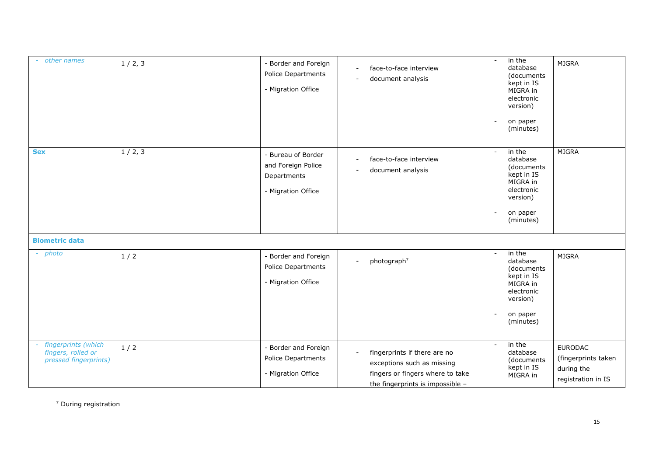| other names                                                        | 1/2, 3 | Border and Foreign<br>Police Departments<br>- Migration Office              | face-to-face interview<br>$\overline{\phantom{a}}$<br>document analysis                                                            | in the<br>$\blacksquare$<br>database<br>(documents<br>kept in IS<br>MIGRA in<br>electronic<br>version)<br>on paper<br>(minutes)                       | <b>MIGRA</b>                                                              |
|--------------------------------------------------------------------|--------|-----------------------------------------------------------------------------|------------------------------------------------------------------------------------------------------------------------------------|-------------------------------------------------------------------------------------------------------------------------------------------------------|---------------------------------------------------------------------------|
| <b>Sex</b>                                                         | 1/2, 3 | Bureau of Border<br>and Foreign Police<br>Departments<br>- Migration Office | face-to-face interview<br>$\sim$<br>document analysis                                                                              | in the<br>$\sim$<br>database<br>(documents<br>kept in IS<br>MIGRA in<br>electronic<br>version)<br>on paper<br>$\overline{\phantom{a}}$<br>(minutes)   | MIGRA                                                                     |
| <b>Biometric data</b>                                              |        |                                                                             |                                                                                                                                    |                                                                                                                                                       |                                                                           |
| - photo                                                            | 1/2    | Border and Foreign<br>Police Departments<br>- Migration Office              | photograph <sup>7</sup><br>$\sim$                                                                                                  | $in$ the<br>$\sim$<br>database<br>(documents<br>kept in IS<br>MIGRA in<br>electronic<br>version)<br>on paper<br>$\overline{\phantom{a}}$<br>(minutes) | <b>MIGRA</b>                                                              |
| fingerprints (which<br>fingers, rolled or<br>pressed fingerprints) | 1/2    | Border and Foreign<br>Police Departments<br>- Migration Office              | fingerprints if there are no<br>exceptions such as missing<br>fingers or fingers where to take<br>the fingerprints is impossible - | in the<br>$\sim$<br>database<br>(documents<br>kept in IS<br>MIGRA in                                                                                  | <b>EURODAC</b><br>(fingerprints taken<br>during the<br>registration in IS |

<sup>7</sup> During registration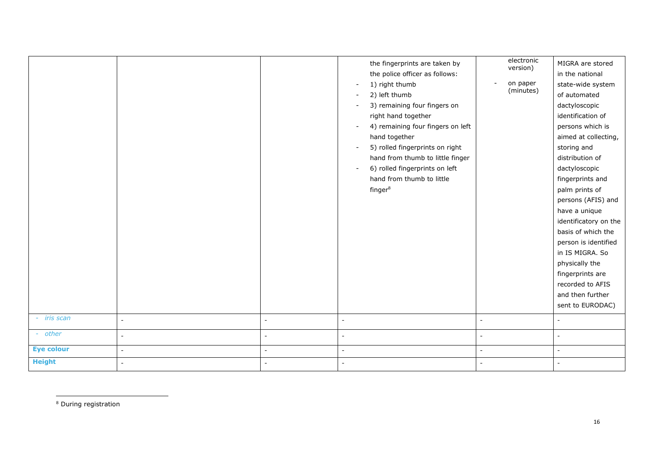|                   |                          |                          | the fingerprints are taken by<br>the police officer as follows:<br>1) right thumb<br>2) left thumb<br>3) remaining four fingers on<br>right hand together<br>4) remaining four fingers on left<br>hand together<br>5) rolled fingerprints on right<br>hand from thumb to little finger<br>6) rolled fingerprints on left<br>hand from thumb to little<br>finger <sup>8</sup> | electronic<br>version)<br>on paper<br>(minutes) | MIGRA are stored<br>in the national<br>state-wide system<br>of automated<br>dactyloscopic<br>identification of<br>persons which is<br>aimed at collecting,<br>storing and<br>distribution of<br>dactyloscopic<br>fingerprints and<br>palm prints of<br>persons (AFIS) and<br>have a unique<br>identificatory on the<br>basis of which the<br>person is identified<br>in IS MIGRA. So<br>physically the |
|-------------------|--------------------------|--------------------------|------------------------------------------------------------------------------------------------------------------------------------------------------------------------------------------------------------------------------------------------------------------------------------------------------------------------------------------------------------------------------|-------------------------------------------------|--------------------------------------------------------------------------------------------------------------------------------------------------------------------------------------------------------------------------------------------------------------------------------------------------------------------------------------------------------------------------------------------------------|
|                   |                          |                          |                                                                                                                                                                                                                                                                                                                                                                              |                                                 | fingerprints are<br>recorded to AFIS<br>and then further<br>sent to EURODAC)                                                                                                                                                                                                                                                                                                                           |
| - iris scan       | $\overline{a}$           | $\overline{a}$           | $\overline{a}$                                                                                                                                                                                                                                                                                                                                                               | $\overline{a}$                                  | $\overline{a}$                                                                                                                                                                                                                                                                                                                                                                                         |
| - other           | $\overline{\phantom{a}}$ | $\blacksquare$           | $\tilde{\phantom{a}}$                                                                                                                                                                                                                                                                                                                                                        | $\blacksquare$                                  | $\blacksquare$                                                                                                                                                                                                                                                                                                                                                                                         |
| <b>Eye colour</b> | $\sim$                   | $\overline{\phantom{a}}$ | $\overline{a}$                                                                                                                                                                                                                                                                                                                                                               | $\blacksquare$                                  | $\overline{\phantom{a}}$                                                                                                                                                                                                                                                                                                                                                                               |
| <b>Height</b>     |                          | $\overline{a}$           |                                                                                                                                                                                                                                                                                                                                                                              | $\overline{a}$                                  | $\overline{\phantom{a}}$                                                                                                                                                                                                                                                                                                                                                                               |

<sup>8</sup> During registration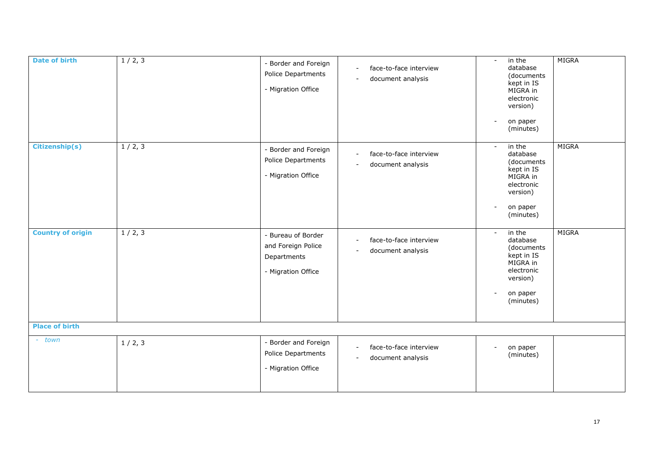| <b>Date of birth</b>     | 1/2, 3 | Border and Foreign<br>Police Departments<br>- Migration Office              | face-to-face interview<br>$\blacksquare$<br>document analysis                     | in the<br>$\overline{\phantom{a}}$<br>database<br>(documents<br>kept in IS<br>MIGRA in<br>electronic<br>version)<br>on paper<br>$\overline{\phantom{a}}$<br>(minutes) | MIGRA |
|--------------------------|--------|-----------------------------------------------------------------------------|-----------------------------------------------------------------------------------|-----------------------------------------------------------------------------------------------------------------------------------------------------------------------|-------|
| <b>Citizenship(s)</b>    | 1/2, 3 | Border and Foreign<br>Police Departments<br>- Migration Office              | face-to-face interview<br>$\sim$<br>document analysis<br>$\overline{\phantom{a}}$ | in the<br>$\sim$<br>database<br>(documents<br>kept in IS<br>MIGRA in<br>electronic<br>version)<br>on paper<br>$\overline{\phantom{a}}$<br>(minutes)                   | MIGRA |
| <b>Country of origin</b> | 1/2, 3 | Bureau of Border<br>and Foreign Police<br>Departments<br>- Migration Office | face-to-face interview<br>document analysis<br>$\overline{\phantom{a}}$           | in the<br>$\sim$<br>database<br>(documents<br>kept in IS<br>MIGRA in<br>electronic<br>version)<br>on paper<br>(minutes)                                               | MIGRA |
| <b>Place of birth</b>    |        |                                                                             |                                                                                   |                                                                                                                                                                       |       |
| - town                   | 1/2, 3 | Border and Foreign<br>Police Departments<br>- Migration Office              | face-to-face interview<br>$\sim$<br>document analysis<br>$\sim$                   | on paper<br>$\overline{\phantom{a}}$<br>(minutes)                                                                                                                     |       |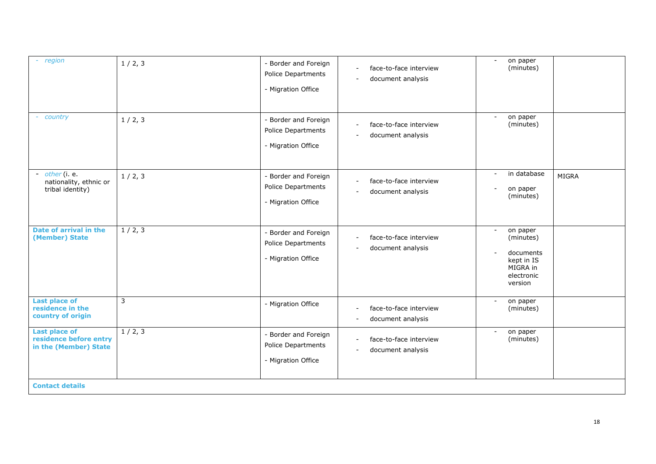| - region                                                                | 1/2, 3 | - Border and Foreign<br>Police Departments<br>- Migration Office | face-to-face interview<br>$\blacksquare$<br>document analysis                                       | on paper<br>$\sim$<br>(minutes)                                                                                   |              |
|-------------------------------------------------------------------------|--------|------------------------------------------------------------------|-----------------------------------------------------------------------------------------------------|-------------------------------------------------------------------------------------------------------------------|--------------|
| country                                                                 | 1/2, 3 | - Border and Foreign<br>Police Departments<br>- Migration Office | face-to-face interview<br>$\overline{\phantom{a}}$<br>document analysis<br>$\overline{\phantom{a}}$ | on paper<br>$\sim$<br>(minutes)                                                                                   |              |
| - $other$ (i. e.<br>nationality, ethnic or<br>tribal identity)          | 1/2, 3 | - Border and Foreign<br>Police Departments<br>- Migration Office | face-to-face interview<br>$\overline{\phantom{a}}$<br>document analysis                             | in database<br>on paper<br>(minutes)                                                                              | <b>MIGRA</b> |
| Date of arrival in the<br>(Member) State                                | 1/2, 3 | - Border and Foreign<br>Police Departments<br>- Migration Office | face-to-face interview<br>document analysis<br>$\overline{\phantom{a}}$                             | on paper<br>$\overline{\phantom{a}}$<br>(minutes)<br>documents<br>kept in IS<br>MIGRA in<br>electronic<br>version |              |
| <b>Last place of</b><br>residence in the<br>country of origin           | 3      | - Migration Office                                               | face-to-face interview<br>$\sim$<br>document analysis<br>$\overline{\phantom{a}}$                   | on paper<br>$\overline{\phantom{a}}$<br>(minutes)                                                                 |              |
| <b>Last place of</b><br>residence before entry<br>in the (Member) State | 1/2, 3 | - Border and Foreign<br>Police Departments<br>- Migration Office | face-to-face interview<br>$\blacksquare$<br>document analysis                                       | on paper<br>(minutes)                                                                                             |              |
| <b>Contact details</b>                                                  |        |                                                                  |                                                                                                     |                                                                                                                   |              |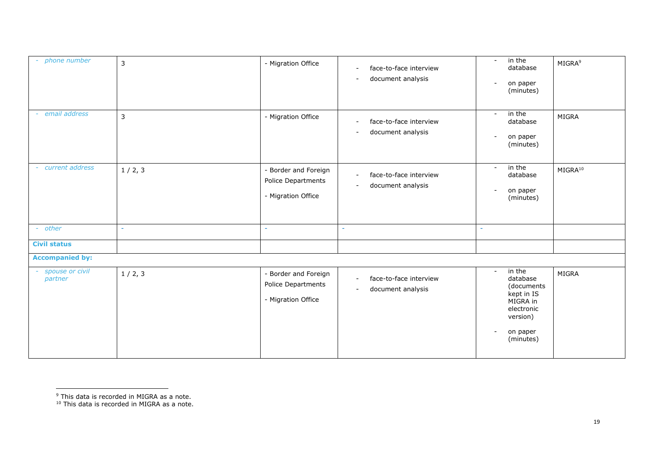| - phone number             | $\mathsf{3}$   | - Migration Office                                               | face-to-face interview<br>$\blacksquare$<br>document analysis<br>$\sim$                   | in the<br>$\blacksquare$<br>database<br>on paper<br>$\blacksquare$<br>(minutes)                                                                     | MIGRA <sup>9</sup>  |
|----------------------------|----------------|------------------------------------------------------------------|-------------------------------------------------------------------------------------------|-----------------------------------------------------------------------------------------------------------------------------------------------------|---------------------|
| email address<br>$\sim$    | $\overline{3}$ | - Migration Office                                               | face-to-face interview<br>$\overline{\phantom{a}}$<br>document analysis<br>$\sim$         | in the<br>$\overline{\phantom{a}}$<br>database<br>on paper<br>$\overline{a}$<br>(minutes)                                                           | MIGRA               |
| current address            | 1/2, 3         | - Border and Foreign<br>Police Departments<br>- Migration Office | face-to-face interview<br>$\blacksquare$<br>document analysis<br>$\sim$                   | in the<br>$\sim$<br>database<br>on paper<br>$\overline{\phantom{a}}$<br>(minutes)                                                                   | MIGRA <sup>10</sup> |
| - other                    | $\sim$         |                                                                  |                                                                                           |                                                                                                                                                     |                     |
| <b>Civil status</b>        |                |                                                                  |                                                                                           |                                                                                                                                                     |                     |
| <b>Accompanied by:</b>     |                |                                                                  |                                                                                           |                                                                                                                                                     |                     |
| spouse or civil<br>partner | 1/2, 3         | - Border and Foreign<br>Police Departments<br>- Migration Office | face-to-face interview<br>$\blacksquare$<br>document analysis<br>$\overline{\phantom{a}}$ | in the<br>$\sim$<br>database<br>(documents<br>kept in IS<br>MIGRA in<br>electronic<br>version)<br>on paper<br>$\overline{\phantom{a}}$<br>(minutes) | <b>MIGRA</b>        |

<sup>&</sup>lt;sup>9</sup> This data is recorded in MIGRA as a note.

<sup>&</sup>lt;sup>10</sup> This data is recorded in MIGRA as a note.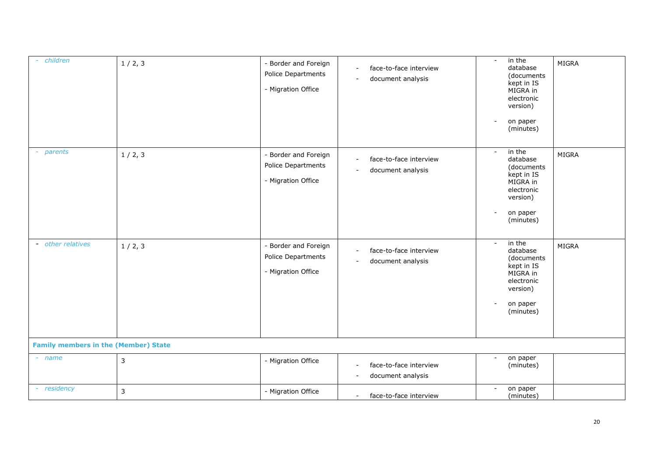| children<br>$\sim$ .                        | 1/2, 3       | Border and Foreign<br>Police Departments<br>- Migration Office | face-to-face interview<br>$\sim$<br>document analysis<br>$\overline{\phantom{a}}$         | in the<br>$\blacksquare$<br>database<br>(documents<br>kept in IS<br>MIGRA in<br>electronic<br>version)<br>on paper<br>$\overline{a}$<br>(minutes) | MIGRA        |
|---------------------------------------------|--------------|----------------------------------------------------------------|-------------------------------------------------------------------------------------------|---------------------------------------------------------------------------------------------------------------------------------------------------|--------------|
| parents                                     | 1/2, 3       | Border and Foreign<br>Police Departments<br>- Migration Office | face-to-face interview<br>$\sim$<br>document analysis<br>$\overline{\phantom{a}}$         | in the<br>database<br>(documents<br>kept in IS<br>MIGRA in<br>electronic<br>version)<br>on paper<br>$\overline{\phantom{a}}$<br>(minutes)         | MIGRA        |
| - other relatives                           | 1/2, 3       | Border and Foreign<br>Police Departments<br>- Migration Office | face-to-face interview<br>$\blacksquare$<br>document analysis<br>$\overline{\phantom{a}}$ | in the<br>$\overline{\phantom{a}}$<br>database<br>(documents<br>kept in IS<br>MIGRA in<br>electronic<br>version)<br>on paper<br>(minutes)         | <b>MIGRA</b> |
| <b>Family members in the (Member) State</b> |              |                                                                |                                                                                           |                                                                                                                                                   |              |
| - name                                      | $\mathsf{3}$ | - Migration Office                                             | face-to-face interview<br>$\blacksquare$<br>document analysis<br>$\overline{\phantom{a}}$ | on paper<br>(minutes)                                                                                                                             |              |
| - residency                                 | $\mathbf{3}$ | - Migration Office                                             | face-to-face interview<br>$\sim$                                                          | on paper<br>$\blacksquare$<br>(minutes)                                                                                                           |              |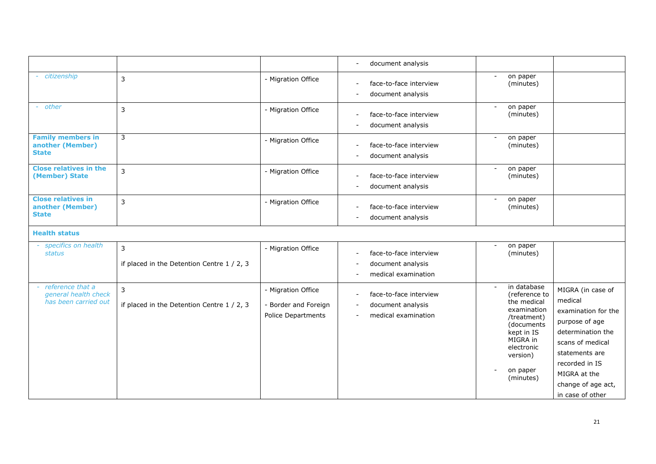|                                                                    |                                                 |                                                                         | document analysis<br>$\sim$                                                                                                        |                                                                                                                                                                      |                                                                                                                                                                                                              |
|--------------------------------------------------------------------|-------------------------------------------------|-------------------------------------------------------------------------|------------------------------------------------------------------------------------------------------------------------------------|----------------------------------------------------------------------------------------------------------------------------------------------------------------------|--------------------------------------------------------------------------------------------------------------------------------------------------------------------------------------------------------------|
| - citizenship                                                      | 3                                               | - Migration Office                                                      | face-to-face interview<br>document analysis<br>$\overline{\phantom{a}}$                                                            | on paper<br>(minutes)                                                                                                                                                |                                                                                                                                                                                                              |
| - other                                                            | 3                                               | - Migration Office                                                      | face-to-face interview<br>document analysis                                                                                        | on paper<br>$\blacksquare$<br>(minutes)                                                                                                                              |                                                                                                                                                                                                              |
| <b>Family members in</b><br>another (Member)<br><b>State</b>       | 3                                               | - Migration Office                                                      | face-to-face interview<br>$\overline{\phantom{a}}$<br>document analysis                                                            | on paper<br>(minutes)                                                                                                                                                |                                                                                                                                                                                                              |
| <b>Close relatives in the</b><br>(Member) State                    | 3                                               | - Migration Office                                                      | face-to-face interview<br>document analysis<br>$\overline{\phantom{a}}$                                                            | on paper<br>$\overline{\phantom{a}}$<br>(minutes)                                                                                                                    |                                                                                                                                                                                                              |
| <b>Close relatives in</b><br>another (Member)<br><b>State</b>      | 3                                               | - Migration Office                                                      | face-to-face interview<br>document analysis                                                                                        | on paper<br>$\overline{\phantom{a}}$<br>(minutes)                                                                                                                    |                                                                                                                                                                                                              |
| <b>Health status</b>                                               |                                                 |                                                                         |                                                                                                                                    |                                                                                                                                                                      |                                                                                                                                                                                                              |
| - specifics on health<br>status                                    | 3<br>if placed in the Detention Centre 1 / 2, 3 | - Migration Office                                                      | face-to-face interview<br>$\overline{\phantom{a}}$<br>document analysis<br>medical examination                                     | on paper<br>(minutes)                                                                                                                                                |                                                                                                                                                                                                              |
| - reference that a<br>general health check<br>has been carried out | 3<br>if placed in the Detention Centre 1 / 2, 3 | - Migration Office<br>- Border and Foreign<br><b>Police Departments</b> | face-to-face interview<br>$\overline{\phantom{a}}$<br>document analysis<br>$\blacksquare$<br>medical examination<br>$\blacksquare$ | in database<br>(reference to<br>the medical<br>examination<br>/treatment)<br>(documents<br>kept in IS<br>MIGRA in<br>electronic<br>version)<br>on paper<br>(minutes) | MIGRA (in case of<br>medical<br>examination for the<br>purpose of age<br>determination the<br>scans of medical<br>statements are<br>recorded in IS<br>MIGRA at the<br>change of age act,<br>in case of other |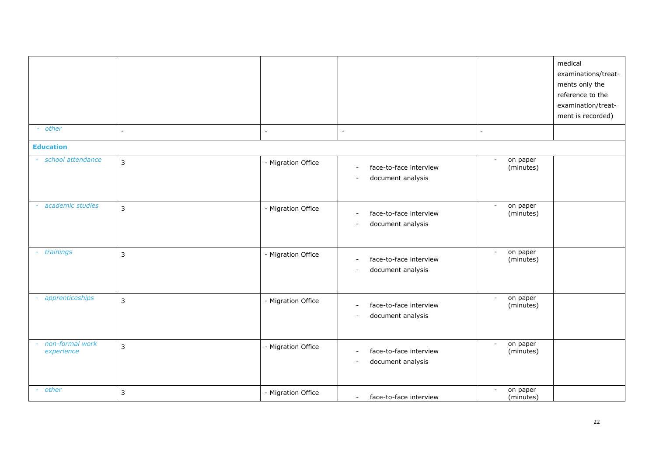| - other                       | $\sim$         | $\blacksquare$     | $\overline{a}$                                                                  | $\blacksquare$                                    | medical<br>examinations/treat-<br>ments only the<br>reference to the<br>examination/treat-<br>ment is recorded) |
|-------------------------------|----------------|--------------------|---------------------------------------------------------------------------------|---------------------------------------------------|-----------------------------------------------------------------------------------------------------------------|
| <b>Education</b>              |                |                    |                                                                                 |                                                   |                                                                                                                 |
| school attendance             | 3              | - Migration Office | face-to-face interview<br>$\sim$<br>document analysis<br>$\blacksquare$         | on paper<br>$\blacksquare$<br>(minutes)           |                                                                                                                 |
| academic studies              | 3              | - Migration Office | face-to-face interview<br>$\sim$<br>document analysis<br>$\blacksquare$         | on paper<br>$\blacksquare$<br>(minutes)           |                                                                                                                 |
| trainings<br>$\sim$           | $\overline{3}$ | - Migration Office | face-to-face interview<br>$\sim$<br>document analysis<br>$\blacksquare$         | on paper<br>$\blacksquare$<br>(minutes)           |                                                                                                                 |
| apprenticeships               | 3              | - Migration Office | face-to-face interview<br>$\overline{a}$<br>document analysis<br>$\blacksquare$ | on paper<br>$\overline{\phantom{a}}$<br>(minutes) |                                                                                                                 |
| non-formal work<br>experience | 3              | - Migration Office | face-to-face interview<br>$\sim$<br>document analysis<br>$\blacksquare$         | on paper<br>$\overline{\phantom{a}}$<br>(minutes) |                                                                                                                 |
| - other                       | 3              | - Migration Office | face-to-face interview<br>$\sim$                                                | on paper<br>$\overline{\phantom{a}}$<br>(minutes) |                                                                                                                 |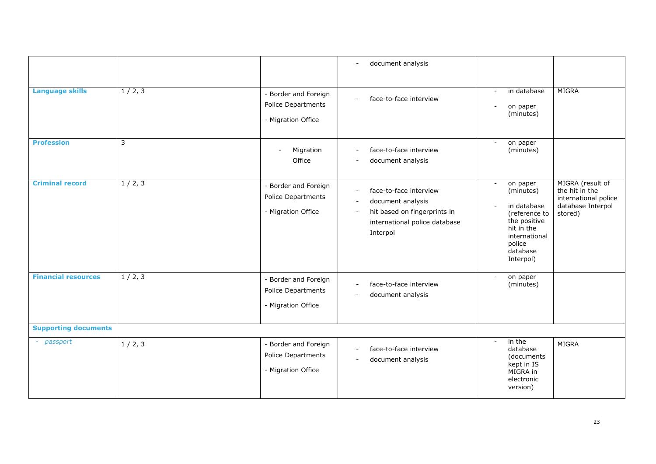|                             |                         |                                                                  | document analysis<br>$\sim$                                                                                                                                            |                                                                                                                                         |                                                                                            |
|-----------------------------|-------------------------|------------------------------------------------------------------|------------------------------------------------------------------------------------------------------------------------------------------------------------------------|-----------------------------------------------------------------------------------------------------------------------------------------|--------------------------------------------------------------------------------------------|
| <b>Language skills</b>      | 1/2, 3                  | - Border and Foreign<br>Police Departments<br>- Migration Office | face-to-face interview<br>$\blacksquare$                                                                                                                               | in database<br>$\sim$<br>on paper<br>(minutes)                                                                                          | <b>MIGRA</b>                                                                               |
| <b>Profession</b>           | $\overline{\mathbf{3}}$ | Migration<br>$\overline{a}$<br>Office                            | face-to-face interview<br>$\blacksquare$<br>document analysis<br>$\blacksquare$                                                                                        | on paper<br>(minutes)                                                                                                                   |                                                                                            |
| <b>Criminal record</b>      | 1/2, 3                  | - Border and Foreign<br>Police Departments<br>- Migration Office | face-to-face interview<br>$\blacksquare$<br>document analysis<br>$\blacksquare$<br>hit based on fingerprints in<br>$\sim$<br>international police database<br>Interpol | on paper<br>(minutes)<br>in database<br>(reference to<br>the positive<br>hit in the<br>international<br>police<br>database<br>Interpol) | MIGRA (result of<br>the hit in the<br>international police<br>database Interpol<br>stored) |
| <b>Financial resources</b>  | 1/2, 3                  | - Border and Foreign<br>Police Departments<br>- Migration Office | face-to-face interview<br>$\blacksquare$<br>document analysis<br>$\sim$                                                                                                | on paper<br>$\sim$<br>(minutes)                                                                                                         |                                                                                            |
| <b>Supporting documents</b> |                         |                                                                  |                                                                                                                                                                        |                                                                                                                                         |                                                                                            |
| - passport                  | 1/2, 3                  | - Border and Foreign<br>Police Departments<br>- Migration Office | face-to-face interview<br>$\blacksquare$<br>document analysis<br>$\overline{\phantom{a}}$                                                                              | in the<br>database<br>(documents<br>kept in IS<br>MIGRA in<br>electronic<br>version)                                                    | <b>MIGRA</b>                                                                               |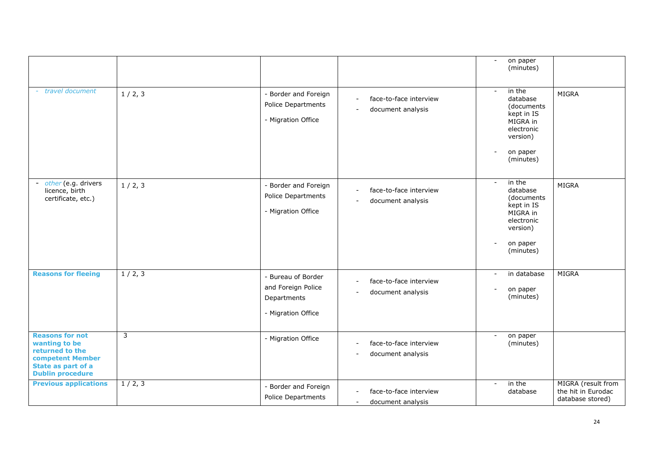|                                                                                                                                 |        |                                                                               |                                                                                           | on paper<br>$\blacksquare$<br>(minutes)                                                                                                           |                                                              |
|---------------------------------------------------------------------------------------------------------------------------------|--------|-------------------------------------------------------------------------------|-------------------------------------------------------------------------------------------|---------------------------------------------------------------------------------------------------------------------------------------------------|--------------------------------------------------------------|
| travel document                                                                                                                 | 1/2, 3 | - Border and Foreign<br>Police Departments<br>- Migration Office              | face-to-face interview<br>document analysis<br>$\sim$                                     | in the<br>$\blacksquare$<br>database<br>(documents<br>kept in IS<br>MIGRA in<br>electronic<br>version)<br>on paper<br>$\overline{a}$<br>(minutes) | <b>MIGRA</b>                                                 |
| - other (e.g. drivers<br>licence, birth<br>certificate, etc.)                                                                   | 1/2, 3 | - Border and Foreign<br>Police Departments<br>- Migration Office              | face-to-face interview<br>$\blacksquare$<br>document analysis                             | in the<br>$\blacksquare$<br>database<br>(documents<br>kept in IS<br>MIGRA in<br>electronic<br>version)<br>on paper<br>(minutes)                   | MIGRA                                                        |
| <b>Reasons for fleeing</b>                                                                                                      | 1/2, 3 | - Bureau of Border<br>and Foreign Police<br>Departments<br>- Migration Office | face-to-face interview<br>document analysis<br>$\blacksquare$                             | in database<br>$\blacksquare$<br>on paper<br>$\overline{a}$<br>(minutes)                                                                          | <b>MIGRA</b>                                                 |
| <b>Reasons for not</b><br>wanting to be<br>returned to the<br>competent Member<br>State as part of a<br><b>Dublin procedure</b> | 3      | - Migration Office                                                            | face-to-face interview<br>document analysis<br>$\overline{\phantom{a}}$                   | on paper<br>$\blacksquare$<br>(minutes)                                                                                                           |                                                              |
| <b>Previous applications</b>                                                                                                    | 1/2, 3 | - Border and Foreign<br>Police Departments                                    | face-to-face interview<br>$\overline{\phantom{0}}$<br>document analysis<br>$\blacksquare$ | in the<br>$\blacksquare$<br>database                                                                                                              | MIGRA (result from<br>the hit in Eurodac<br>database stored) |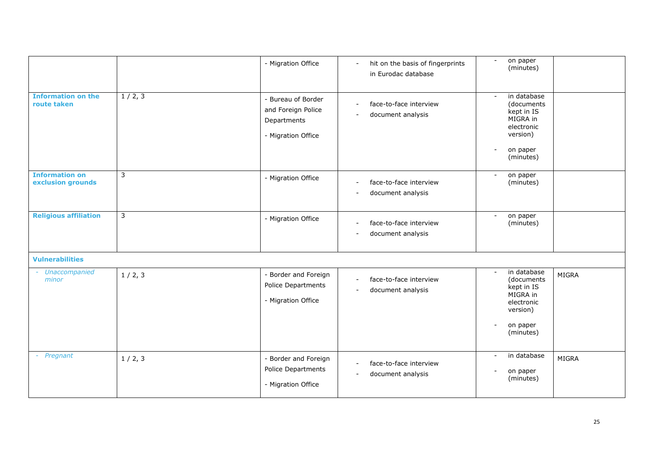|                                            |                | - Migration Office                                                            | hit on the basis of fingerprints<br>$\blacksquare$<br>in Eurodac database                 | on paper<br>(minutes)                                                                                                                                          |              |
|--------------------------------------------|----------------|-------------------------------------------------------------------------------|-------------------------------------------------------------------------------------------|----------------------------------------------------------------------------------------------------------------------------------------------------------------|--------------|
| <b>Information on the</b><br>route taken   | 1/2, 3         | - Bureau of Border<br>and Foreign Police<br>Departments<br>- Migration Office | face-to-face interview<br>$\overline{\phantom{a}}$<br>document analysis<br>$\blacksquare$ | in database<br>$\sim$<br>(documents<br>kept in IS<br>MIGRA in<br>electronic<br>version)<br>on paper<br>$\overline{\phantom{a}}$<br>(minutes)                   |              |
| <b>Information on</b><br>exclusion grounds | 3              | - Migration Office                                                            | face-to-face interview<br>$\overline{a}$<br>document analysis<br>$\overline{a}$           | on paper<br>$\sim$<br>(minutes)                                                                                                                                |              |
| <b>Religious affiliation</b>               | $\overline{3}$ | - Migration Office                                                            | face-to-face interview<br>$\blacksquare$<br>document analysis<br>$\overline{a}$           | on paper<br>$\overline{\phantom{a}}$<br>(minutes)                                                                                                              |              |
| <b>Vulnerabilities</b>                     |                |                                                                               |                                                                                           |                                                                                                                                                                |              |
| - Unaccompanied<br>minor                   | 1/2, 3         | - Border and Foreign<br>Police Departments<br>- Migration Office              | face-to-face interview<br>÷,<br>document analysis<br>$\blacksquare$                       | in database<br>$\overline{\phantom{a}}$<br>(documents<br>kept in IS<br>MIGRA in<br>electronic<br>version)<br>on paper<br>$\overline{\phantom{a}}$<br>(minutes) | <b>MIGRA</b> |
| - Pregnant                                 | 1/2, 3         | - Border and Foreign<br>Police Departments<br>- Migration Office              | face-to-face interview<br>$\overline{\phantom{a}}$<br>document analysis<br>$\blacksquare$ | in database<br>$\sim$<br>on paper<br>(minutes)                                                                                                                 | MIGRA        |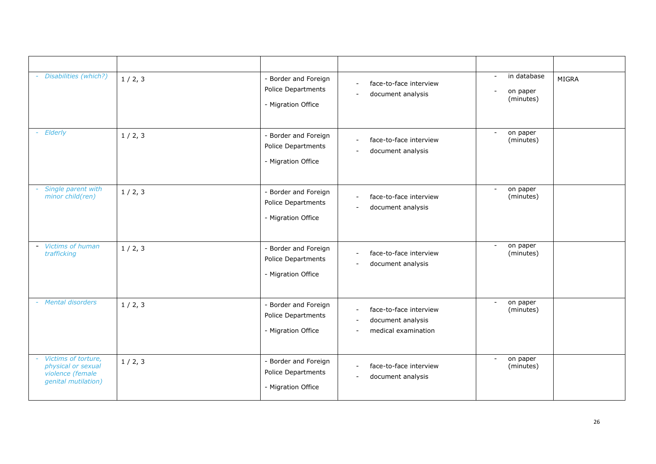| - Disabilities (which?)                                                              | 1/2, 3 | - Border and Foreign<br>Police Departments<br>- Migration Office | face-to-face interview<br>$\blacksquare$<br>document analysis<br>$\blacksquare$                          | in database<br>$\sim$<br>on paper<br>(minutes)    | MIGRA |
|--------------------------------------------------------------------------------------|--------|------------------------------------------------------------------|----------------------------------------------------------------------------------------------------------|---------------------------------------------------|-------|
| Elderly                                                                              | 1/2, 3 | - Border and Foreign<br>Police Departments<br>- Migration Office | face-to-face interview<br>$\sim$<br>document analysis<br>$\blacksquare$                                  | on paper<br>$\overline{\phantom{a}}$<br>(minutes) |       |
| Single parent with<br>minor child(ren)                                               | 1/2, 3 | - Border and Foreign<br>Police Departments<br>- Migration Office | face-to-face interview<br>$\sim$<br>document analysis                                                    | on paper<br>(minutes)                             |       |
| - Victims of human<br>trafficking                                                    | 1/2, 3 | - Border and Foreign<br>Police Departments<br>- Migration Office | face-to-face interview<br>$\sim$<br>document analysis                                                    | on paper<br>$\blacksquare$<br>(minutes)           |       |
| - Mental disorders                                                                   | 1/2, 3 | - Border and Foreign<br>Police Departments<br>- Migration Office | face-to-face interview<br>$\sim$<br>document analysis<br>$\blacksquare$<br>medical examination<br>$\sim$ | on paper<br>$\sim$<br>(minutes)                   |       |
| Victims of torture,<br>physical or sexual<br>violence (female<br>genital mutilation) | 1/2, 3 | - Border and Foreign<br>Police Departments<br>- Migration Office | face-to-face interview<br>$\sim$<br>document analysis<br>$\blacksquare$                                  | on paper<br>$\overline{\phantom{a}}$<br>(minutes) |       |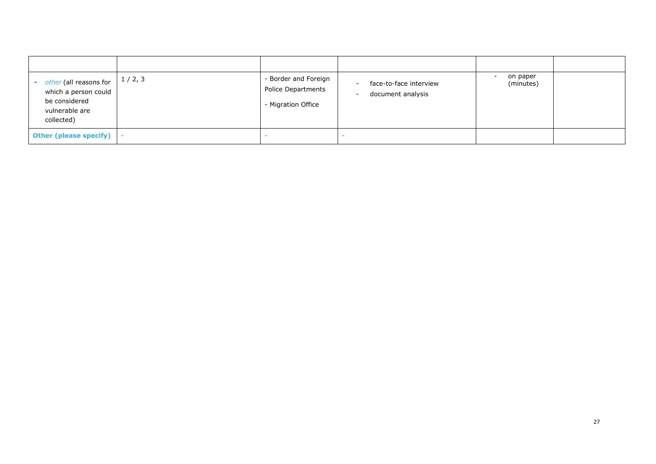| - other (all reasons for<br>which a person could<br>be considered<br>vulnerable are<br>collected) | 1/2, 3 | - Border and Foreign<br>Police Departments<br>- Migration Office | face-to-face interview<br>document analysis<br>$\overline{\phantom{a}}$ | on paper<br>$\overline{\phantom{a}}$<br>(minutes) |  |
|---------------------------------------------------------------------------------------------------|--------|------------------------------------------------------------------|-------------------------------------------------------------------------|---------------------------------------------------|--|
| Other (please specify)   -                                                                        |        |                                                                  |                                                                         |                                                   |  |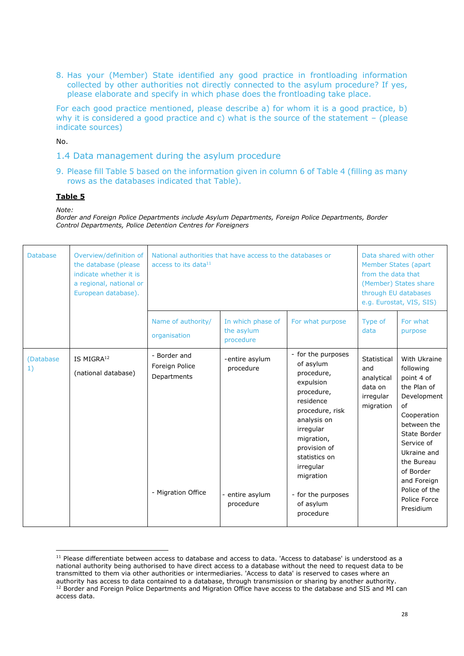8. Has your (Member) State identified any good practice in frontloading information collected by other authorities not directly connected to the asylum procedure? If yes, please elaborate and specify in which phase does the frontloading take place.

For each good practice mentioned, please describe a) for whom it is a good practice, b) why it is considered a good practice and c) what is the source of the statement  $-$  (please indicate sources)

No.

- 1.4 Data management during the asylum procedure
- 9. Please fill Table 5 based on the information given in column 6 of Table 4 (filling as many rows as the databases indicated that Table).

#### **Table 5**

*Note:* 

*Border and Foreign Police Departments include Asylum Departments, Foreign Police Departments, Border Control Departments, Police Detention Centres for Foreigners* 

| <b>Database</b> | Overview/definition of<br>the database (please<br>indicate whether it is<br>a regional, national or<br>European database). | National authorities that have access to the databases or<br>access to its data $^{11}$ |                                                             |                                                                                                                                                                                                                                                               |                                                                       | Data shared with other<br>Member States (apart<br>from the data that<br>(Member) States share<br>through EU databases<br>e.g. Eurostat, VIS, SIS)                                                                                              |  |  |
|-----------------|----------------------------------------------------------------------------------------------------------------------------|-----------------------------------------------------------------------------------------|-------------------------------------------------------------|---------------------------------------------------------------------------------------------------------------------------------------------------------------------------------------------------------------------------------------------------------------|-----------------------------------------------------------------------|------------------------------------------------------------------------------------------------------------------------------------------------------------------------------------------------------------------------------------------------|--|--|
|                 |                                                                                                                            | Name of authority/<br>organisation                                                      | In which phase of<br>the asylum<br>procedure                | For what purpose                                                                                                                                                                                                                                              | Type of<br>data                                                       | For what<br>purpose                                                                                                                                                                                                                            |  |  |
| (Database<br>1) | IS MIGRA <sup>12</sup><br>(national database)                                                                              | - Border and<br>Foreign Police<br>Departments<br>- Migration Office                     | -entire asylum<br>procedure<br>- entire asylum<br>procedure | - for the purposes<br>of asylum<br>procedure,<br>expulsion<br>procedure,<br>residence<br>procedure, risk<br>analysis on<br>irregular<br>migration,<br>provision of<br>statistics on<br>irregular<br>migration<br>- for the purposes<br>of asylum<br>procedure | Statistical<br>and<br>analytical<br>data on<br>irregular<br>migration | With Ukraine<br>following<br>point 4 of<br>the Plan of<br>Development<br>of<br>Cooperation<br>between the<br>State Border<br>Service of<br>Ukraine and<br>the Bureau<br>of Border<br>and Foreign<br>Police of the<br>Police Force<br>Presidium |  |  |

<sup>&</sup>lt;sup>11</sup> Please differentiate between access to database and access to data. 'Access to database' is understood as a national authority being authorised to have direct access to a database without the need to request data to be transmitted to them via other authorities or intermediaries. 'Access to data' is reserved to cases where an authority has access to data contained to a database, through transmission or sharing by another authority. <sup>12</sup> Border and Foreign Police Departments and Migration Office have access to the database and SIS and MI can access data.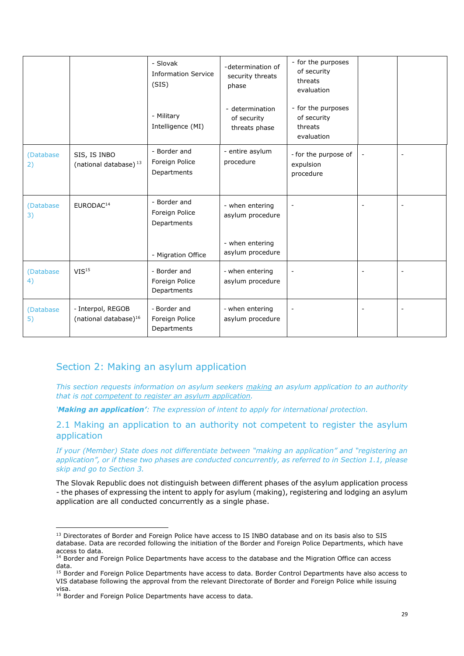|                  |                                                        | - Slovak<br><b>Information Service</b><br>(SIS)<br>- Military<br>Intelligence (MI) | -determination of<br>security threats<br>phase<br>- determination<br>of security<br>threats phase | - for the purposes<br>of security<br>threats<br>evaluation<br>- for the purposes<br>of security<br>threats<br>evaluation |  |
|------------------|--------------------------------------------------------|------------------------------------------------------------------------------------|---------------------------------------------------------------------------------------------------|--------------------------------------------------------------------------------------------------------------------------|--|
| (Database)<br>2) | SIS, IS INBO<br>(national database) <sup>13</sup>      | - Border and<br>Foreign Police<br>Departments                                      | - entire asylum<br>procedure                                                                      | - for the purpose of<br>expulsion<br>procedure                                                                           |  |
| (Database)<br>3) | EURODAC <sup>14</sup>                                  | - Border and<br>Foreign Police<br>Departments<br>- Migration Office                | - when entering<br>asylum procedure<br>- when entering<br>asylum procedure                        |                                                                                                                          |  |
| (Database)<br>4) | VIS <sup>15</sup>                                      | - Border and<br>Foreign Police<br>Departments                                      | - when entering<br>asylum procedure                                                               |                                                                                                                          |  |
| (Database<br>5)  | - Interpol, REGOB<br>(national database) <sup>16</sup> | - Border and<br>Foreign Police<br>Departments                                      | - when entering<br>asylum procedure                                                               | $\overline{\phantom{a}}$                                                                                                 |  |

# Section 2: Making an asylum application

*This section requests information on asylum seekers making an asylum application to an authority that is not competent to register an asylum application.* 

*'Making an application': The expression of intent to apply for international protection.*

2.1 Making an application to an authority not competent to register the asylum application

*If your (Member) State does not differentiate between "making an application" and "registering an application", or if these two phases are conducted concurrently, as referred to in Section 1.1, please skip and go to Section 3.* 

The Slovak Republic does not distinguish between different phases of the asylum application process - the phases of expressing the intent to apply for asylum (making), registering and lodging an asylum application are all conducted concurrently as a single phase.

<sup>&</sup>lt;sup>13</sup> Directorates of Border and Foreign Police have access to IS INBO database and on its basis also to SIS database. Data are recorded following the initiation of the Border and Foreign Police Departments, which have access to data.

<sup>&</sup>lt;sup>14</sup> Border and Foreign Police Departments have access to the database and the Migration Office can access data.

<sup>&</sup>lt;sup>15</sup> Border and Foreign Police Departments have access to data. Border Control Departments have also access to VIS database following the approval from the relevant Directorate of Border and Foreign Police while issuing visa.

<sup>16</sup> Border and Foreign Police Departments have access to data.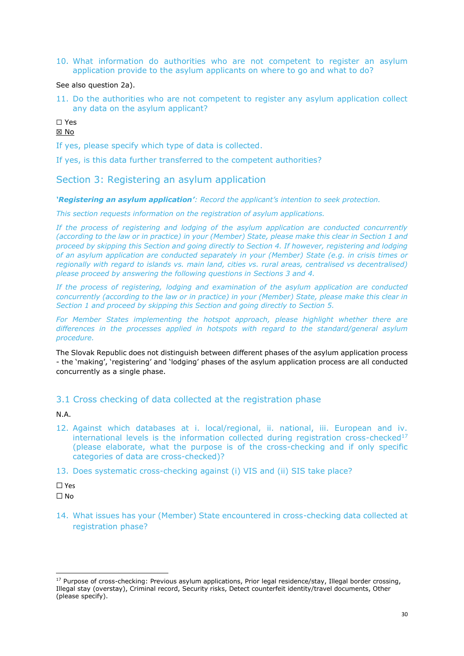10. What information do authorities who are not competent to register an asylum application provide to the asylum applicants on where to go and what to do?

See also question 2a).

11. Do the authorities who are not competent to register any asylum application collect any data on the asylum applicant?

## ☐ Yes

### ☒ No

If yes, please specify which type of data is collected.

If yes, is this data further transferred to the competent authorities?

Section 3: Registering an asylum application

*'Registering an asylum application': Record the applicant's intention to seek protection.*

*This section requests information on the registration of asylum applications.*

*If the process of registering and lodging of the asylum application are conducted concurrently (according to the law or in practice) in your (Member) State, please make this clear in Section 1 and proceed by skipping this Section and going directly to Section 4. If however, registering and lodging of an asylum application are conducted separately in your (Member) State (e.g. in crisis times or regionally with regard to islands vs. main land, cities vs. rural areas, centralised vs decentralised) please proceed by answering the following questions in Sections 3 and 4.* 

*If the process of registering, lodging and examination of the asylum application are conducted concurrently (according to the law or in practice) in your (Member) State, please make this clear in Section 1 and proceed by skipping this Section and going directly to Section 5.*

For Member States implementing the hotspot approach, please highlight whether there are *differences in the processes applied in hotspots with regard to the standard/general asylum procedure.* 

The Slovak Republic does not distinguish between different phases of the asylum application process - the 'making', 'registering' and 'lodging' phases of the asylum application process are all conducted concurrently as a single phase.

## 3.1 Cross checking of data collected at the registration phase

N.A.

12. Against which databases at i. local/regional, ii. national, iii. European and iv. international levels is the information collected during registration cross-checked $17$ (please elaborate, what the purpose is of the cross-checking and if only specific categories of data are cross-checked)?

13. Does systematic cross-checking against (i) VIS and (ii) SIS take place?

☐ Yes ☐ No

14. What issues has your (Member) State encountered in cross-checking data collected at registration phase?

<sup>&</sup>lt;sup>17</sup> Purpose of cross-checking: Previous asylum applications, Prior legal residence/stay, Illegal border crossing, Illegal stay (overstay), Criminal record, Security risks, Detect counterfeit identity/travel documents, Other (please specify).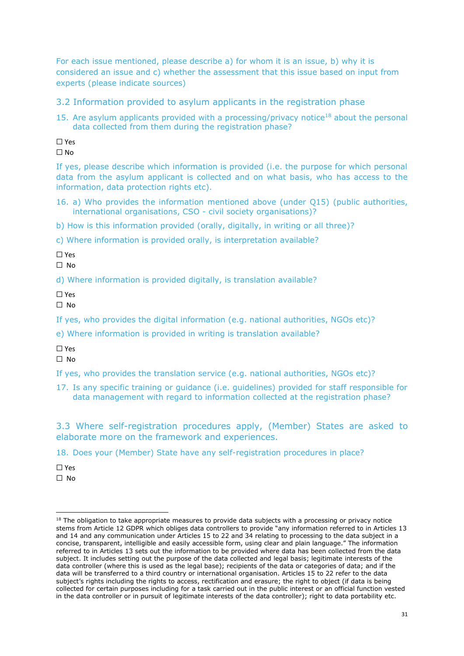For each issue mentioned, please describe a) for whom it is an issue, b) why it is considered an issue and c) whether the assessment that this issue based on input from experts (please indicate sources)

3.2 Information provided to asylum applicants in the registration phase

15. Are asylum applicants provided with a processing/privacy notice<sup>18</sup> about the personal data collected from them during the registration phase?

☐ Yes  $\Box$  No

If yes, please describe which information is provided (i.e. the purpose for which personal data from the asylum applicant is collected and on what basis, who has access to the information, data protection rights etc).

- 16. a) Who provides the information mentioned above (under Q15) (public authorities, international organisations, CSO - civil society organisations)?
- b) How is this information provided (orally, digitally, in writing or all three)?

c) Where information is provided orally, is interpretation available?

☐ Yes

 $\Box$  No

d) Where information is provided digitally, is translation available?

☐ Yes

 $\Box$  No

If yes, who provides the digital information (e.g. national authorities, NGOs etc)?

e) Where information is provided in writing is translation available?

☐ Yes

☐ No

If yes, who provides the translation service (e.g. national authorities, NGOs etc)?

17. Is any specific training or guidance (i.e. guidelines) provided for staff responsible for data management with regard to information collected at the registration phase?

3.3 Where self-registration procedures apply, (Member) States are asked to elaborate more on the framework and experiences.

18. Does your (Member) State have any self-registration procedures in place?

☐ Yes

☐ No

<sup>&</sup>lt;sup>18</sup> The obligation to take appropriate measures to provide data subjects with a processing or privacy notice stems from Article 12 GDPR which obliges data controllers to provide "any information referred to in Articles 13 and 14 and any communication under Articles 15 to 22 and 34 relating to processing to the data subject in a concise, transparent, intelligible and easily accessible form, using clear and plain language." The information referred to in Articles 13 sets out the information to be provided where data has been collected from the data subject. It includes setting out the purpose of the data collected and legal basis; legitimate interests of the data controller (where this is used as the legal base); recipients of the data or categories of data; and if the data will be transferred to a third country or international organisation. Articles 15 to 22 refer to the data subject's rights including the rights to access, rectification and erasure; the right to object (if data is being collected for certain purposes including for a task carried out in the public interest or an official function vested in the data controller or in pursuit of legitimate interests of the data controller); right to data portability etc.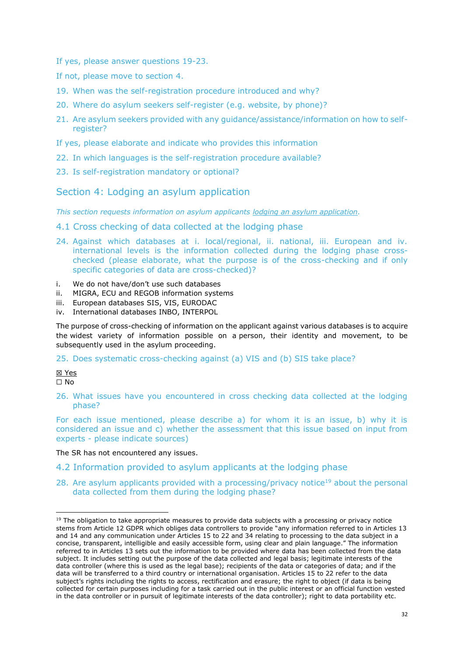- If yes, please answer questions 19-23.
- If not, please move to section 4.
- 19. When was the self-registration procedure introduced and why?
- 20. Where do asylum seekers self-register (e.g. website, by phone)?
- 21. Are asylum seekers provided with any guidance/assistance/information on how to selfregister?
- If yes, please elaborate and indicate who provides this information
- 22. In which languages is the self-registration procedure available?
- 23. Is self-registration mandatory or optional?

Section 4: Lodging an asylum application

*This section requests information on asylum applicants lodging an asylum application.* 

- 4.1 Cross checking of data collected at the lodging phase
- 24. Against which databases at i. local/regional, ii. national, iii. European and iv. international levels is the information collected during the lodging phase crosschecked (please elaborate, what the purpose is of the cross-checking and if only specific categories of data are cross-checked)?
- i. We do not have/don't use such databases
- ii. MIGRA, ECU and REGOB information systems
- iii. European databases SIS, VIS, EURODAC
- iv. International databases INBO, INTERPOL

The purpose of cross-checking of information on the applicant against various databases is to acquire the widest variety of information possible on a person, their identity and movement, to be subsequently used in the asylum proceeding.

25. Does systematic cross-checking against (a) VIS and (b) SIS take place?

☒ Yes

☐ No

26. What issues have you encountered in cross checking data collected at the lodging phase?

For each issue mentioned, please describe a) for whom it is an issue, b) why it is considered an issue and c) whether the assessment that this issue based on input from experts - please indicate sources)

The SR has not encountered any issues.

- 4.2 Information provided to asylum applicants at the lodging phase
- 28. Are asylum applicants provided with a processing/privacy notice<sup>19</sup> about the personal data collected from them during the lodging phase?

<sup>&</sup>lt;sup>19</sup> The obligation to take appropriate measures to provide data subjects with a processing or privacy notice stems from Article 12 GDPR which obliges data controllers to provide "any information referred to in Articles 13 and 14 and any communication under Articles 15 to 22 and 34 relating to processing to the data subject in a concise, transparent, intelligible and easily accessible form, using clear and plain language." The information referred to in Articles 13 sets out the information to be provided where data has been collected from the data subject. It includes setting out the purpose of the data collected and legal basis; legitimate interests of the data controller (where this is used as the legal base); recipients of the data or categories of data; and if the data will be transferred to a third country or international organisation. Articles 15 to 22 refer to the data subject's rights including the rights to access, rectification and erasure; the right to object (if data is being collected for certain purposes including for a task carried out in the public interest or an official function vested in the data controller or in pursuit of legitimate interests of the data controller); right to data portability etc.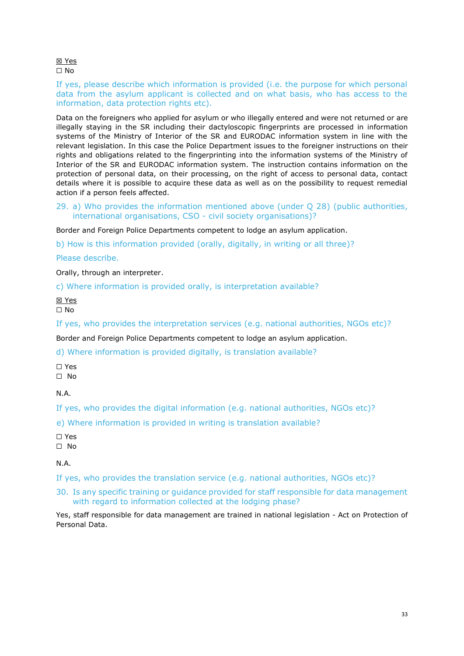☒ Yes ☐ No

If yes, please describe which information is provided (i.e. the purpose for which personal data from the asylum applicant is collected and on what basis, who has access to the information, data protection rights etc).

Data on the foreigners who applied for asylum or who illegally entered and were not returned or are illegally staying in the SR including their dactyloscopic fingerprints are processed in information systems of the Ministry of Interior of the SR and EURODAC information system in line with the relevant legislation. In this case the Police Department issues to the foreigner instructions on their rights and obligations related to the fingerprinting into the information systems of the Ministry of Interior of the SR and EURODAC information system. The instruction contains information on the protection of personal data, on their processing, on the right of access to personal data, contact details where it is possible to acquire these data as well as on the possibility to request remedial action if a person feels affected.

29. a) Who provides the information mentioned above (under Q 28) (public authorities, international organisations, CSO - civil society organisations)?

Border and Foreign Police Departments competent to lodge an asylum application.

b) How is this information provided (orally, digitally, in writing or all three)?

Please describe.

Orally, through an interpreter.

c) Where information is provided orally, is interpretation available?

☒ Yes ☐ No

If yes, who provides the interpretation services (e.g. national authorities, NGOs etc)?

Border and Foreign Police Departments competent to lodge an asylum application.

d) Where information is provided digitally, is translation available?

☐ Yes ☐ No

N.A.

If yes, who provides the digital information (e.g. national authorities, NGOs etc)?

e) Where information is provided in writing is translation available?

☐ Yes

☐ No

N.A.

If yes, who provides the translation service (e.g. national authorities, NGOs etc)?

## 30. Is any specific training or guidance provided for staff responsible for data management with regard to information collected at the lodging phase?

Yes, staff responsible for data management are trained in national legislation - Act on Protection of Personal Data.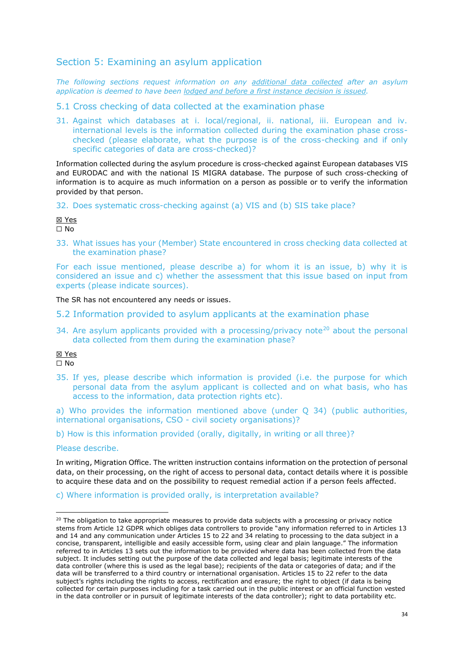# Section 5: Examining an asylum application

*The following sections request information on any additional data collected after an asylum application is deemed to have been lodged and before a first instance decision is issued.*

5.1 Cross checking of data collected at the examination phase

31. Against which databases at i. local/regional, ii. national, iii. European and iv. international levels is the information collected during the examination phase crosschecked (please elaborate, what the purpose is of the cross-checking and if only specific categories of data are cross-checked)?

Information collected during the asylum procedure is cross-checked against European databases VIS and EURODAC and with the national IS MIGRA database. The purpose of such cross-checking of information is to acquire as much information on a person as possible or to verify the information provided by that person.

32. Does systematic cross-checking against (a) VIS and (b) SIS take place?

☒ Yes

 $\Box$  No

33. What issues has your (Member) State encountered in cross checking data collected at the examination phase?

For each issue mentioned, please describe a) for whom it is an issue, b) why it is considered an issue and c) whether the assessment that this issue based on input from experts (please indicate sources).

The SR has not encountered any needs or issues.

- 5.2 Information provided to asylum applicants at the examination phase
- 34. Are asylum applicants provided with a processing/privacy note<sup>20</sup> about the personal data collected from them during the examination phase?

☒ Yes ☐ No

35. If yes, please describe which information is provided (i.e. the purpose for which personal data from the asylum applicant is collected and on what basis, who has access to the information, data protection rights etc).

a) Who provides the information mentioned above (under Q 34) (public authorities, international organisations, CSO - civil society organisations)?

b) How is this information provided (orally, digitally, in writing or all three)?

Please describe.

In writing, Migration Office. The written instruction contains information on the protection of personal data, on their processing, on the right of access to personal data, contact details where it is possible to acquire these data and on the possibility to request remedial action if a person feels affected.

c) Where information is provided orally, is interpretation available?

<sup>&</sup>lt;sup>20</sup> The obligation to take appropriate measures to provide data subjects with a processing or privacy notice stems from Article 12 GDPR which obliges data controllers to provide "any information referred to in Articles 13 and 14 and any communication under Articles 15 to 22 and 34 relating to processing to the data subject in a concise, transparent, intelligible and easily accessible form, using clear and plain language." The information referred to in Articles 13 sets out the information to be provided where data has been collected from the data subject. It includes setting out the purpose of the data collected and legal basis; legitimate interests of the data controller (where this is used as the legal base); recipients of the data or categories of data; and if the data will be transferred to a third country or international organisation. Articles 15 to 22 refer to the data subject's rights including the rights to access, rectification and erasure; the right to object (if data is being collected for certain purposes including for a task carried out in the public interest or an official function vested in the data controller or in pursuit of legitimate interests of the data controller); right to data portability etc.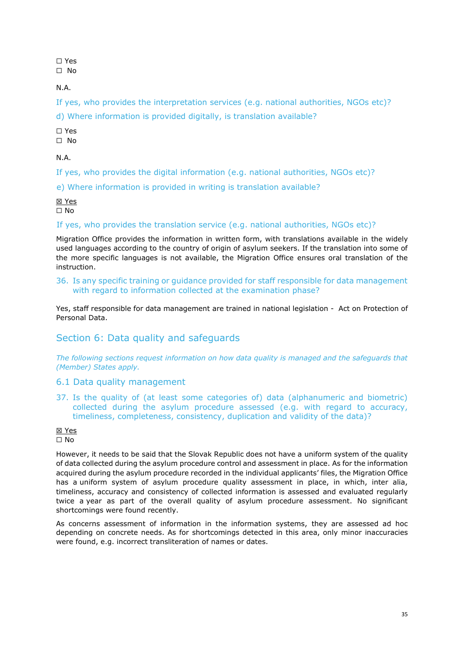☐ Yes

☐ No

N.A.

If yes, who provides the interpretation services (e.g. national authorities, NGOs etc)?

d) Where information is provided digitally, is translation available?

☐ Yes

☐ No

N.A.

If yes, who provides the digital information (e.g. national authorities, NGOs etc)?

e) Where information is provided in writing is translation available?

☒ Yes ☐ No

If yes, who provides the translation service (e.g. national authorities, NGOs etc)?

Migration Office provides the information in written form, with translations available in the widely used languages according to the country of origin of asylum seekers. If the translation into some of the more specific languages is not available, the Migration Office ensures oral translation of the instruction.

36. Is any specific training or guidance provided for staff responsible for data management with regard to information collected at the examination phase?

Yes, staff responsible for data management are trained in national legislation - Act on Protection of Personal Data.

# Section 6: Data quality and safeguards

*The following sections request information on how data quality is managed and the safeguards that (Member) States apply.*

## 6.1 Data quality management

37. Is the quality of (at least some categories of) data (alphanumeric and biometric) collected during the asylum procedure assessed (e.g. with regard to accuracy, timeliness, completeness, consistency, duplication and validity of the data)?

## ☒ Yes

☐ No

However, it needs to be said that the Slovak Republic does not have a uniform system of the quality of data collected during the asylum procedure control and assessment in place. As for the information acquired during the asylum procedure recorded in the individual applicants' files, the Migration Office has a uniform system of asylum procedure quality assessment in place, in which, inter alia, timeliness, accuracy and consistency of collected information is assessed and evaluated regularly twice a year as part of the overall quality of asylum procedure assessment. No significant shortcomings were found recently.

As concerns assessment of information in the information systems, they are assessed ad hoc depending on concrete needs. As for shortcomings detected in this area, only minor inaccuracies were found, e.g. incorrect transliteration of names or dates.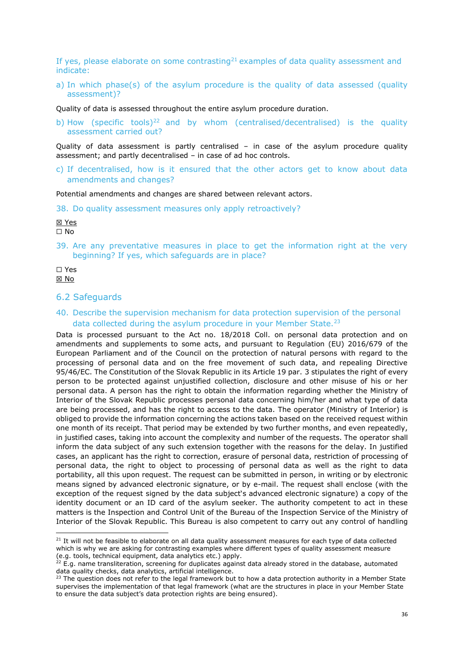If yes, please elaborate on some contrasting<sup>21</sup> examples of data quality assessment and indicate:

a) In which phase(s) of the asylum procedure is the quality of data assessed (quality assessment)?

Quality of data is assessed throughout the entire asylum procedure duration.

b) How (specific tools)<sup>22</sup> and by whom (centralised/decentralised) is the quality assessment carried out?

Quality of data assessment is partly centralised – in case of the asylum procedure quality assessment; and partly decentralised – in case of ad hoc controls.

c) If decentralised, how is it ensured that the other actors get to know about data amendments and changes?

Potential amendments and changes are shared between relevant actors.

38. Do quality assessment measures only apply retroactively?

☒ Yes

☐ No

39. Are any preventative measures in place to get the information right at the very beginning? If yes, which safeguards are in place?

#### ☐ Yes ☒ No

#### 6.2 Safeguards

40. Describe the supervision mechanism for data protection supervision of the personal data collected during the asylum procedure in your Member State.<sup>23</sup>

Data is processed pursuant to the Act no. 18/2018 Coll. on personal data protection and on amendments and supplements to some acts, and pursuant to Regulation (EU) 2016/679 of the European Parliament and of the Council on the protection of natural persons with regard to the processing of personal data and on the free movement of such data, and repealing Directive 95/46/EC. The Constitution of the Slovak Republic in its Article 19 par. 3 stipulates the right of every person to be protected against unjustified collection, disclosure and other misuse of his or her personal data. A person has the right to obtain the information regarding whether the Ministry of Interior of the Slovak Republic processes personal data concerning him/her and what type of data are being processed, and has the right to access to the data. The operator (Ministry of Interior) is obliged to provide the information concerning the actions taken based on the received request within one month of its receipt. That period may be extended by two further months, and even repeatedly, in justified cases, taking into account the complexity and number of the requests. The operator shall inform the data subject of any such extension together with the reasons for the delay. In justified cases, an applicant has the right to correction, erasure of personal data, restriction of processing of personal data, the right to object to processing of personal data as well as the right to data portability, all this upon request. The request can be submitted in person, in writing or by electronic means signed by advanced electronic signature, or by e-mail. The request shall enclose (with the exception of the request signed by the data subject's advanced electronic signature) a copy of the identity document or an ID card of the asylum seeker. The authority competent to act in these matters is the Inspection and Control Unit of the Bureau of the Inspection Service of the Ministry of Interior of the Slovak Republic. This Bureau is also competent to carry out any control of handling

<sup>&</sup>lt;sup>21</sup> It will not be feasible to elaborate on all data quality assessment measures for each type of data collected which is why we are asking for contrasting examples where different types of quality assessment measure (e.g. tools, technical equipment, data analytics etc.) apply.

 $22$  E.g. name transliteration, screening for duplicates against data already stored in the database, automated data quality checks, data analytics, artificial intelligence.

<sup>23</sup> The question does not refer to the legal framework but to how a data protection authority in a Member State supervises the implementation of that legal framework (what are the structures in place in your Member State to ensure the data subject's data protection rights are being ensured).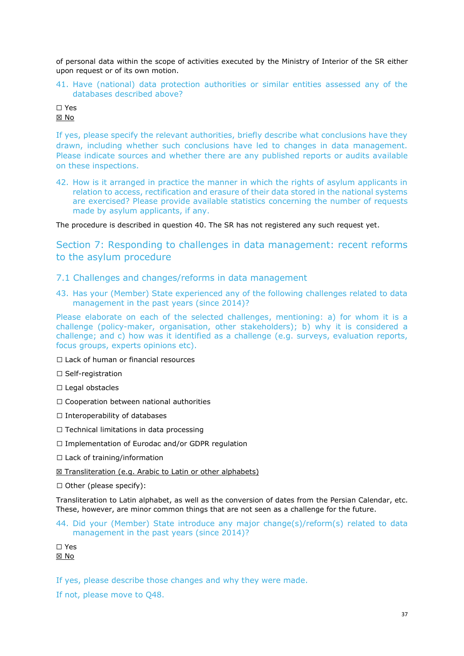of personal data within the scope of activities executed by the Ministry of Interior of the SR either upon request or of its own motion.

41. Have (national) data protection authorities or similar entities assessed any of the databases described above?

#### ☐ Yes ☒ No

If yes, please specify the relevant authorities, briefly describe what conclusions have they drawn, including whether such conclusions have led to changes in data management. Please indicate sources and whether there are any published reports or audits available on these inspections.

42. How is it arranged in practice the manner in which the rights of asylum applicants in relation to access, rectification and erasure of their data stored in the national systems are exercised? Please provide available statistics concerning the number of requests made by asylum applicants, if any.

The procedure is described in question 40. The SR has not registered any such request yet.

Section 7: Responding to challenges in data management: recent reforms to the asylum procedure

- 7.1 Challenges and changes/reforms in data management
- 43. Has your (Member) State experienced any of the following challenges related to data management in the past years (since 2014)?

Please elaborate on each of the selected challenges, mentioning: a) for whom it is a challenge (policy-maker, organisation, other stakeholders); b) why it is considered a challenge; and c) how was it identified as a challenge (e.g. surveys, evaluation reports, focus groups, experts opinions etc).

☐ Lack of human or financial resources

- □ Self-registration
- ☐ Legal obstacles
- ☐ Cooperation between national authorities
- ☐ Interoperability of databases
- ☐ Technical limitations in data processing
- ☐ Implementation of Eurodac and/or GDPR regulation
- □ Lack of training/information
- ⊠ Transliteration (e.g. Arabic to Latin or other alphabets)
- ☐ Other (please specify):

Transliteration to Latin alphabet, as well as the conversion of dates from the Persian Calendar, etc. These, however, are minor common things that are not seen as a challenge for the future.

44. Did your (Member) State introduce any major change(s)/reform(s) related to data management in the past years (since 2014)?

☐ Yes ☒ No

If yes, please describe those changes and why they were made.

If not, please move to Q48.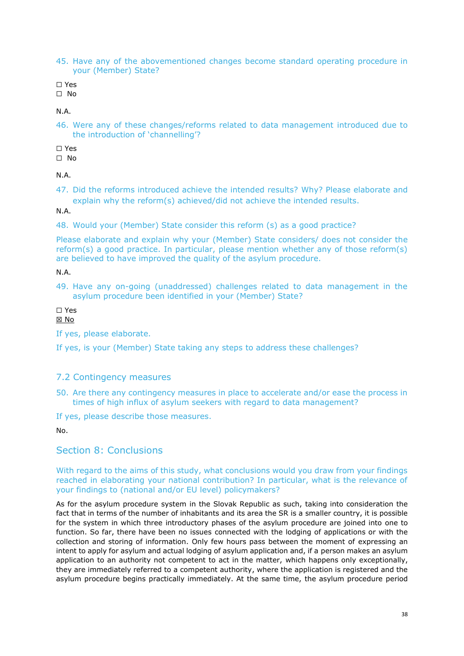45. Have any of the abovementioned changes become standard operating procedure in your (Member) State?

☐ Yes

☐ No

N.A.

46. Were any of these changes/reforms related to data management introduced due to the introduction of 'channelling'?

☐ Yes

☐ No

N.A.

47. Did the reforms introduced achieve the intended results? Why? Please elaborate and explain why the reform(s) achieved/did not achieve the intended results.

N.A.

48. Would your (Member) State consider this reform (s) as a good practice?

Please elaborate and explain why your (Member) State considers/ does not consider the reform(s) a good practice. In particular, please mention whether any of those reform(s) are believed to have improved the quality of the asylum procedure.

N.A.

49. Have any on-going (unaddressed) challenges related to data management in the asylum procedure been identified in your (Member) State?

☐ Yes ☒ No

If yes, please elaborate.

If yes, is your (Member) State taking any steps to address these challenges?

## 7.2 Contingency measures

50. Are there any contingency measures in place to accelerate and/or ease the process in times of high influx of asylum seekers with regard to data management?

If yes, please describe those measures.

No.

# Section 8: Conclusions

#### With regard to the aims of this study, what conclusions would you draw from your findings reached in elaborating your national contribution? In particular, what is the relevance of your findings to (national and/or EU level) policymakers?

As for the asylum procedure system in the Slovak Republic as such, taking into consideration the fact that in terms of the number of inhabitants and its area the SR is a smaller country, it is possible for the system in which three introductory phases of the asylum procedure are joined into one to function. So far, there have been no issues connected with the lodging of applications or with the collection and storing of information. Only few hours pass between the moment of expressing an intent to apply for asylum and actual lodging of asylum application and, if a person makes an asylum application to an authority not competent to act in the matter, which happens only exceptionally, they are immediately referred to a competent authority, where the application is registered and the asylum procedure begins practically immediately. At the same time, the asylum procedure period